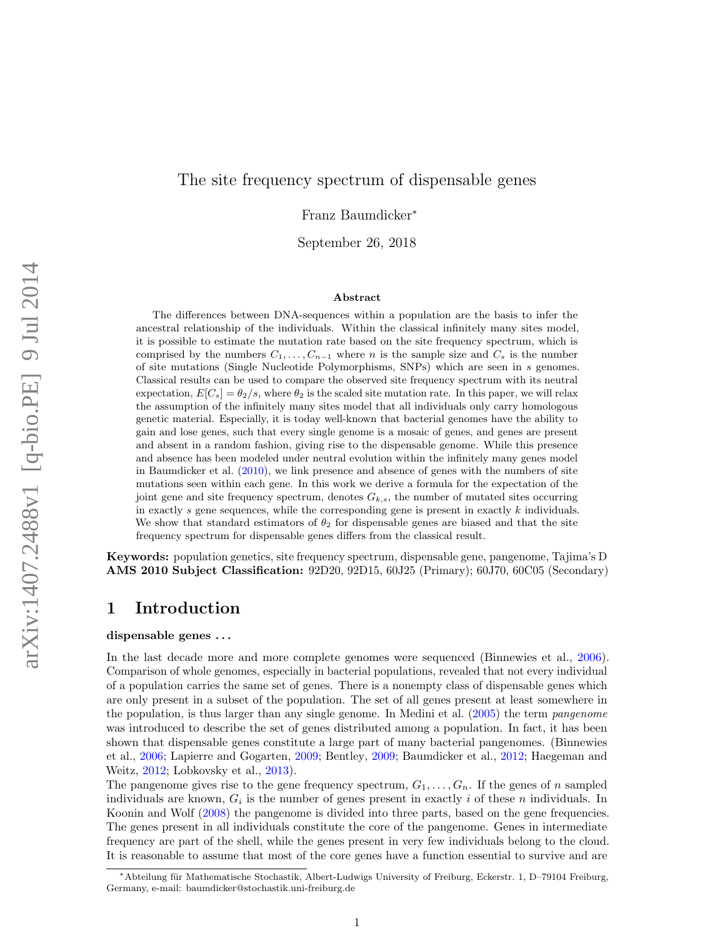## The site frequency spectrum of dispensable genes

Franz Baumdicker<sup>∗</sup>

September 26, 2018

#### Abstract

The differences between DNA-sequences within a population are the basis to infer the ancestral relationship of the individuals. Within the classical infinitely many sites model, it is possible to estimate the mutation rate based on the site frequency spectrum, which is comprised by the numbers  $C_1, \ldots, C_{n-1}$  where n is the sample size and  $C_s$  is the number of site mutations (Single Nucleotide Polymorphisms, SNPs) which are seen in s genomes. Classical results can be used to compare the observed site frequency spectrum with its neutral expectation,  $E[C_s] = \theta_2/s$ , where  $\theta_2$  is the scaled site mutation rate. In this paper, we will relax the assumption of the infinitely many sites model that all individuals only carry homologous genetic material. Especially, it is today well-known that bacterial genomes have the ability to gain and lose genes, such that every single genome is a mosaic of genes, and genes are present and absent in a random fashion, giving rise to the dispensable genome. While this presence and absence has been modeled under neutral evolution within the infinitely many genes model in Baumdicker et al.  $(2010)$ , we link presence and absence of genes with the numbers of site mutations seen within each gene. In this work we derive a formula for the expectation of the joint gene and site frequency spectrum, denotes  $G_{k,s}$ , the number of mutated sites occurring in exactly  $s$  gene sequences, while the corresponding gene is present in exactly  $k$  individuals. We show that standard estimators of  $\theta_2$  for dispensable genes are biased and that the site frequency spectrum for dispensable genes differs from the classical result.

Keywords: population genetics, site frequency spectrum, dispensable gene, pangenome, Tajima's D AMS 2010 Subject Classification: 92D20, 92D15, 60J25 (Primary); 60J70, 60C05 (Secondary)

# 1 Introduction

#### dispensable genes . . .

In the last decade more and more complete genomes were sequenced (Binnewies et al., [2006\)](#page-22-1). Comparison of whole genomes, especially in bacterial populations, revealed that not every individual of a population carries the same set of genes. There is a nonempty class of dispensable genes which are only present in a subset of the population. The set of all genes present at least somewhere in the population, is thus larger than any single genome. In Medini et al. [\(2005\)](#page-23-0) the term pangenome was introduced to describe the set of genes distributed among a population. In fact, it has been shown that dispensable genes constitute a large part of many bacterial pangenomes. (Binnewies et al., [2006;](#page-22-1) Lapierre and Gogarten, [2009;](#page-22-2) Bentley, [2009;](#page-22-3) Baumdicker et al., [2012;](#page-22-4) Haegeman and Weitz, [2012;](#page-22-5) Lobkovsky et al., [2013\)](#page-23-1).

The pangenome gives rise to the gene frequency spectrum,  $G_1, \ldots, G_n$ . If the genes of n sampled individuals are known,  $G_i$  is the number of genes present in exactly i of these n individuals. In Koonin and Wolf [\(2008\)](#page-22-6) the pangenome is divided into three parts, based on the gene frequencies. The genes present in all individuals constitute the core of the pangenome. Genes in intermediate frequency are part of the shell, while the genes present in very few individuals belong to the cloud. It is reasonable to assume that most of the core genes have a function essential to survive and are

<sup>∗</sup>Abteilung f¨ur Mathematische Stochastik, Albert-Ludwigs University of Freiburg, Eckerstr. 1, D–79104 Freiburg, Germany, e-mail: baumdicker@stochastik.uni-freiburg.de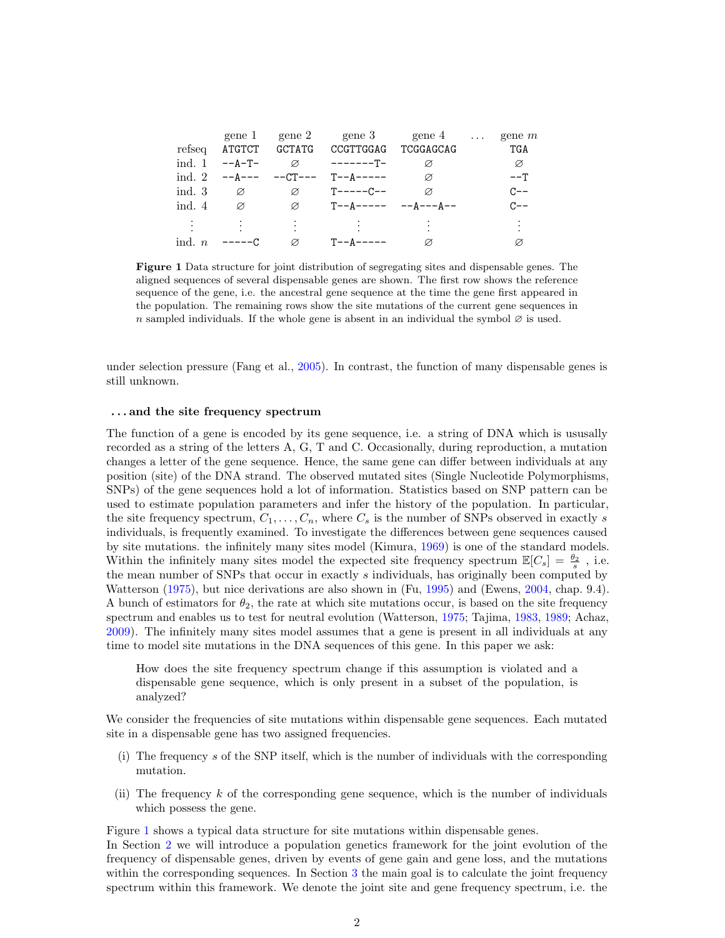|          |                 |               | gene 1 gene 2 gene 3 gene 4 $\ldots$ gene m |               |            |
|----------|-----------------|---------------|---------------------------------------------|---------------|------------|
| refseq   |                 |               | ATGTCT GCTATG CCGTTGGAG TCGGAGCAG           |               | <b>TGA</b> |
|          | ind. $1 - -A-T$ |               |                                             |               | Ø          |
|          |                 |               | ind 2 $-4-- -CT-- T=-A---$                  | $\varnothing$ | ––т        |
| ind. $3$ | Ø               | Ø             | T-----C--                                   | $\varnothing$ | $C - -$    |
| ind. $4$ | Ø               | $\varnothing$ |                                             |               | $C - -$    |
|          |                 |               |                                             |               |            |
|          |                 |               |                                             |               |            |
| ind. $n$ | $---C$          | $\varnothing$ | T--A-----                                   | Ø             |            |

<span id="page-1-0"></span>Figure 1 Data structure for joint distribution of segregating sites and dispensable genes. The aligned sequences of several dispensable genes are shown. The first row shows the reference sequence of the gene, i.e. the ancestral gene sequence at the time the gene first appeared in the population. The remaining rows show the site mutations of the current gene sequences in n sampled individuals. If the whole gene is absent in an individual the symbol  $\varnothing$  is used.

under selection pressure (Fang et al., [2005\)](#page-22-7). In contrast, the function of many dispensable genes is still unknown.

#### . . . and the site frequency spectrum

The function of a gene is encoded by its gene sequence, i.e. a string of DNA which is ususally recorded as a string of the letters A, G, T and C. Occasionally, during reproduction, a mutation changes a letter of the gene sequence. Hence, the same gene can differ between individuals at any position (site) of the DNA strand. The observed mutated sites (Single Nucleotide Polymorphisms, SNPs) of the gene sequences hold a lot of information. Statistics based on SNP pattern can be used to estimate population parameters and infer the history of the population. In particular, the site frequency spectrum,  $C_1, \ldots, C_n$ , where  $C_s$  is the number of SNPs observed in exactly s individuals, is frequently examined. To investigate the differences between gene sequences caused by site mutations. the infinitely many sites model (Kimura, [1969\)](#page-22-8) is one of the standard models. Within the infinitely many sites model the expected site frequency spectrum  $\mathbb{E}[C_s] = \frac{\theta_2}{s}$ , i.e. the mean number of SNPs that occur in exactly s individuals, has originally been computed by Watterson [\(1975\)](#page-23-2), but nice derivations are also shown in (Fu, [1995\)](#page-22-9) and (Ewens, [2004,](#page-22-10) chap. 9.4). A bunch of estimators for  $\theta_2$ , the rate at which site mutations occur, is based on the site frequency spectrum and enables us to test for neutral evolution (Watterson, [1975;](#page-23-2) Tajima, [1983,](#page-23-3) [1989;](#page-23-4) Achaz, [2009\)](#page-22-11). The infinitely many sites model assumes that a gene is present in all individuals at any time to model site mutations in the DNA sequences of this gene. In this paper we ask:

How does the site frequency spectrum change if this assumption is violated and a dispensable gene sequence, which is only present in a subset of the population, is analyzed?

We consider the frequencies of site mutations within dispensable gene sequences. Each mutated site in a dispensable gene has two assigned frequencies.

- (i) The frequency s of the SNP itself, which is the number of individuals with the corresponding mutation.
- (ii) The frequency  $k$  of the corresponding gene sequence, which is the number of individuals which possess the gene.

Figure [1](#page-1-0) shows a typical data structure for site mutations within dispensable genes.

In Section [2](#page-2-0) we will introduce a population genetics framework for the joint evolution of the frequency of dispensable genes, driven by events of gene gain and gene loss, and the mutations within the corresponding sequences. In Section [3](#page-4-0) the main goal is to calculate the joint frequency spectrum within this framework. We denote the joint site and gene frequency spectrum, i.e. the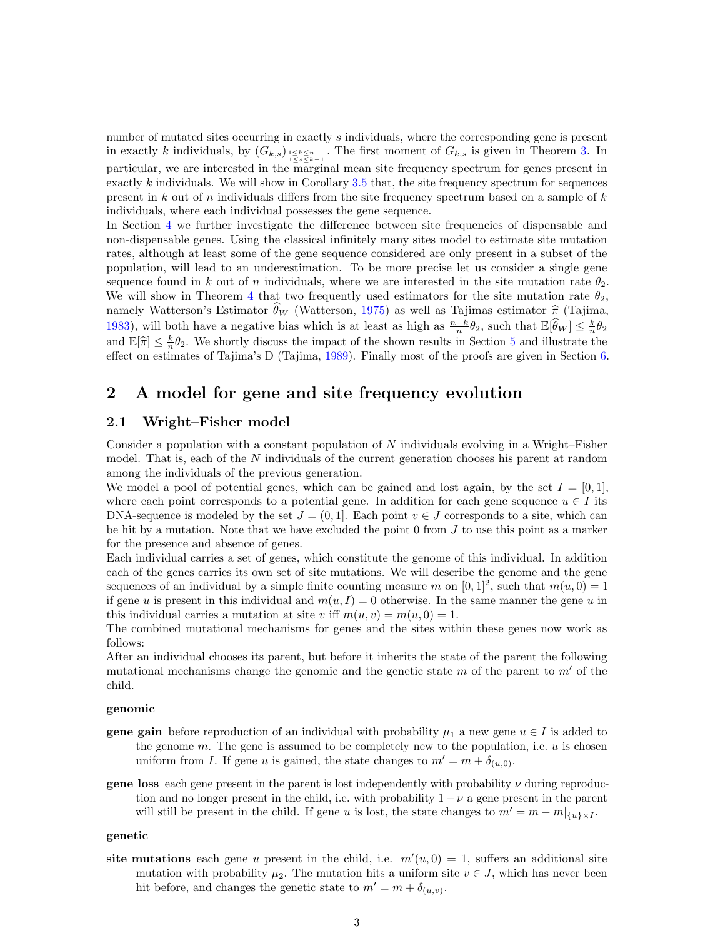number of mutated sites occurring in exactly s individuals, where the corresponding gene is present in exactly k individuals, by  $(G_{k,s})_{1 \leq s \leq k-1 \atop 1 \leq s \leq k-1}$ . The first moment of  $G_{k,s}$  is given in Theorem [3.](#page-5-0) In particular, we are interested in the marginal mean site frequency spectrum for genes present in exactly  $k$  individuals. We will show in Corollary [3.5](#page-6-0) that, the site frequency spectrum for sequences present in k out of n individuals differs from the site frequency spectrum based on a sample of  $k$ individuals, where each individual possesses the gene sequence.

In Section [4](#page-7-0) we further investigate the difference between site frequencies of dispensable and non-dispensable genes. Using the classical infinitely many sites model to estimate site mutation rates, although at least some of the gene sequence considered are only present in a subset of the population, will lead to an underestimation. To be more precise let us consider a single gene sequence found in k out of n individuals, where we are interested in the site mutation rate  $\theta_2$ . We will show in Theorem [4](#page-8-0) that two frequently used estimators for the site mutation rate  $\theta_2$ , namely Watterson's Estimator  $\theta_W$  (Watterson, [1975\)](#page-23-2) as well as Tajimas estimator  $\hat{\pi}$  (Tajima, [1983\)](#page-23-3), will both have a negative bias which is at least as high as  $\frac{n-k}{n}\theta_2$ , such that  $\mathbb{E}[\widehat{\theta}_W] \leq \frac{k}{n}\theta_2$ and  $\mathbb{E}[\hat{\pi}] \leq \frac{k}{n}\theta_2$ . We shortly discuss the impact of the shown results in Section [5](#page-9-0) and illustrate the offert on originate of Taiwa's D (Taiwa 1980). Finally most of the proofs are given in Section 6. effect on estimates of Tajima's D (Tajima, [1989\)](#page-23-4). Finally most of the proofs are given in Section [6.](#page-11-0)

# <span id="page-2-0"></span>2 A model for gene and site frequency evolution

### 2.1 Wright–Fisher model

Consider a population with a constant population of  $N$  individuals evolving in a Wright–Fisher model. That is, each of the N individuals of the current generation chooses his parent at random among the individuals of the previous generation.

We model a pool of potential genes, which can be gained and lost again, by the set  $I = [0, 1]$ , where each point corresponds to a potential gene. In addition for each gene sequence  $u \in I$  its DNA-sequence is modeled by the set  $J = (0, 1]$ . Each point  $v \in J$  corresponds to a site, which can be hit by a mutation. Note that we have excluded the point  $0$  from  $J$  to use this point as a marker for the presence and absence of genes.

Each individual carries a set of genes, which constitute the genome of this individual. In addition each of the genes carries its own set of site mutations. We will describe the genome and the gene sequences of an individual by a simple finite counting measure m on  $[0,1]^2$ , such that  $m(u, 0) = 1$ if gene u is present in this individual and  $m(u, I) = 0$  otherwise. In the same manner the gene u in this individual carries a mutation at site v iff  $m(u, v) = m(u, 0) = 1$ .

The combined mutational mechanisms for genes and the sites within these genes now work as follows:

After an individual chooses its parent, but before it inherits the state of the parent the following mutational mechanisms change the genomic and the genetic state  $m$  of the parent to  $m'$  of the child.

#### genomic

- **gene gain** before reproduction of an individual with probability  $\mu_1$  a new gene  $u \in I$  is added to the genome  $m$ . The gene is assumed to be completely new to the population, i.e.  $u$  is chosen uniform from I. If gene u is gained, the state changes to  $m' = m + \delta_{(u,0)}$ .
- **gene loss** each gene present in the parent is lost independently with probability  $\nu$  during reproduction and no longer present in the child, i.e. with probability  $1 - \nu$  a gene present in the parent will still be present in the child. If gene u is lost, the state changes to  $m' = m - m|_{\{u\} \times I}$ .

#### genetic

site mutations each gene u present in the child, i.e.  $m'(u, 0) = 1$ , suffers an additional site mutation with probability  $\mu_2$ . The mutation hits a uniform site  $v \in J$ , which has never been hit before, and changes the genetic state to  $m' = m + \delta_{(u,v)}$ .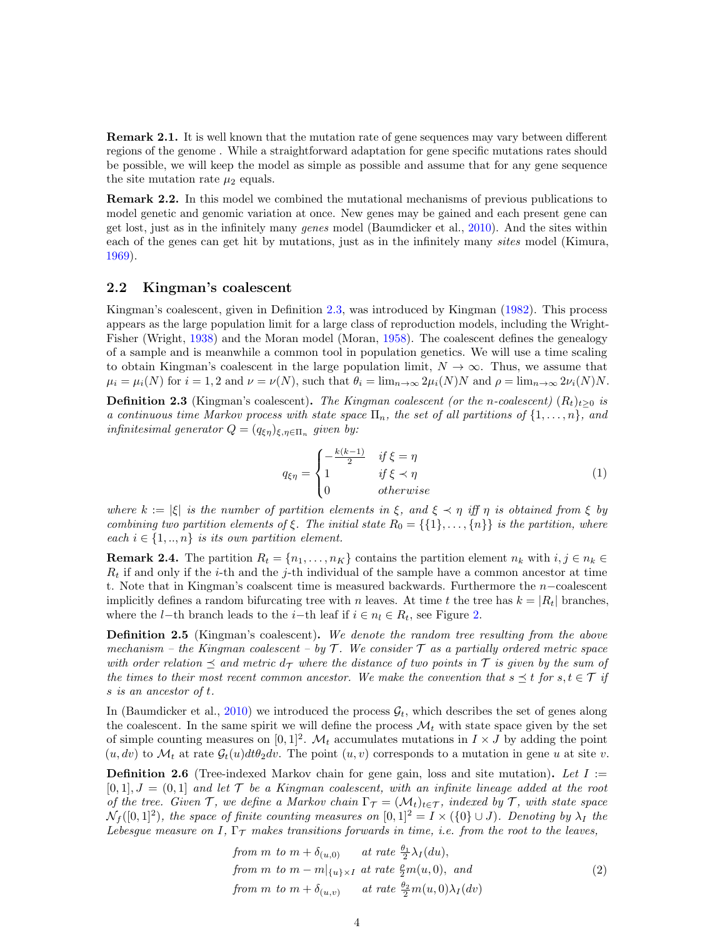Remark 2.1. It is well known that the mutation rate of gene sequences may vary between different regions of the genome . While a straightforward adaptation for gene specific mutations rates should be possible, we will keep the model as simple as possible and assume that for any gene sequence the site mutation rate  $\mu_2$  equals.

Remark 2.2. In this model we combined the mutational mechanisms of previous publications to model genetic and genomic variation at once. New genes may be gained and each present gene can get lost, just as in the infinitely many genes model (Baumdicker et al., [2010\)](#page-22-0). And the sites within each of the genes can get hit by mutations, just as in the infinitely many *sites* model (Kimura, [1969\)](#page-22-8).

#### 2.2 Kingman's coalescent

Kingman's coalescent, given in Definition [2.3,](#page-3-0) was introduced by Kingman [\(1982\)](#page-22-12). This process appears as the large population limit for a large class of reproduction models, including the Wright-Fisher (Wright, [1938\)](#page-23-5) and the Moran model (Moran, [1958\)](#page-23-6). The coalescent defines the genealogy of a sample and is meanwhile a common tool in population genetics. We will use a time scaling to obtain Kingman's coalescent in the large population limit,  $N \to \infty$ . Thus, we assume that  $\mu_i = \mu_i(N)$  for  $i = 1, 2$  and  $\nu = \nu(N)$ , such that  $\theta_i = \lim_{n \to \infty} 2\mu_i(N)N$  and  $\rho = \lim_{n \to \infty} 2\nu_i(N)N$ .

<span id="page-3-0"></span>**Definition 2.3** (Kingman's coalescent). The Kingman coalescent (or the n-coalescent)  $(R_t)_{t\geq0}$  is a continuous time Markov process with state space  $\Pi_n$ , the set of all partitions of  $\{1,\ldots,n\}$ , and infinitesimal generator  $Q = (q_{\xi\eta})_{\xi,\eta \in \Pi_n}$  given by:

$$
q_{\xi\eta} = \begin{cases} -\frac{k(k-1)}{2} & \text{if } \xi = \eta\\ 1 & \text{if } \xi \prec \eta\\ 0 & \text{otherwise} \end{cases}
$$
 (1)

where  $k := |\xi|$  is the number of partition elements in  $\xi$ , and  $\xi \prec \eta$  iff  $\eta$  is obtained from  $\xi$  by combining two partition elements of  $\xi$ . The initial state  $R_0 = \{\{1\}, \ldots, \{n\}\}\$  is the partition, where each  $i \in \{1, ..., n\}$  is its own partition element.

**Remark 2.4.** The partition  $R_t = \{n_1, \ldots, n_K\}$  contains the partition element  $n_k$  with  $i, j \in n_k \in \mathbb{R}$  $R_t$  if and only if the *i*-th and the *j*-th individual of the sample have a common ancestor at time t. Note that in Kingman's coalscent time is measured backwards. Furthermore the n−coalescent implicitly defines a random bifurcating tree with n leaves. At time t the tree has  $k = |R_t|$  branches, where the l−th branch leads to the i−th leaf if  $i \in n_l \in R_t$ , see Figure [2.](#page-4-1)

**Definition 2.5** (Kingman's coalescent). We denote the random tree resulting from the above mechanism – the Kingman coalescent – by  $\mathcal T$ . We consider  $\mathcal T$  as a partially ordered metric space with order relation  $\preceq$  and metric  $d_{\mathcal{T}}$  where the distance of two points in  $\mathcal{T}$  is given by the sum of the times to their most recent common ancestor. We make the convention that  $s \preceq t$  for  $s, t \in \mathcal{T}$  if s is an ancestor of t.

In (Baumdicker et al., [2010\)](#page-22-0) we introduced the process  $\mathcal{G}_t$ , which describes the set of genes along the coalescent. In the same spirit we will define the process  $\mathcal{M}_t$  with state space given by the set of simple counting measures on  $[0, 1]^2$ .  $\mathcal{M}_t$  accumulates mutations in  $I \times J$  by adding the point  $(u, dv)$  to  $\mathcal{M}_t$  at rate  $\mathcal{G}_t(u)dt\theta_2dv$ . The point  $(u, v)$  corresponds to a mutation in gene u at site v.

<span id="page-3-1"></span>**Definition 2.6** (Tree-indexed Markov chain for gene gain, loss and site mutation). Let  $I :=$  $[0,1], J = (0,1]$  and let T be a Kingman coalescent, with an infinite lineage added at the root of the tree. Given T, we define a Markov chain  $\Gamma_{\mathcal{T}} = (\mathcal{M}_t)_{t \in \mathcal{T}}$ , indexed by T, with state space  $\mathcal{N}_f([0,1]^2)$ , the space of finite counting measures on  $[0,1]^2 = I \times (\{0\} \cup J)$ . Denoting by  $\lambda_I$  the Lebesgue measure on I,  $\Gamma_{\mathcal{T}}$  makes transitions forwards in time, i.e. from the root to the leaves,

from m to 
$$
m + \delta_{(u,0)}
$$
 at rate  $\frac{\theta_1}{2}\lambda_I(du)$ ,  
from m to  $m - m|_{\{u\} \times I}$  at rate  $\frac{\rho}{2}m(u,0)$ , and  
from m to  $m + \delta_{(u,v)}$  at rate  $\frac{\theta_2}{2}m(u,0)\lambda_I(dv)$  (2)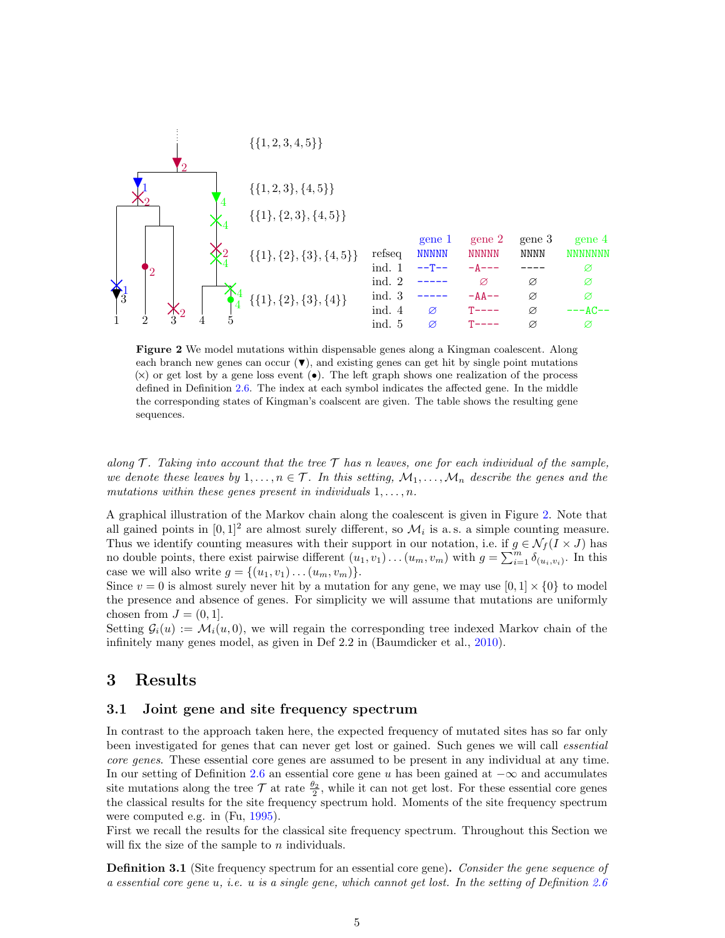

<span id="page-4-1"></span>Figure 2 We model mutations within dispensable genes along a Kingman coalescent. Along each branch new genes can occur  $(\blacktriangledown)$ , and existing genes can get hit by single point mutations  $(x)$  or get lost by a gene loss event ( $\bullet$ ). The left graph shows one realization of the process defined in Definition [2.6.](#page-3-1) The index at each symbol indicates the affected gene. In the middle the corresponding states of Kingman's coalscent are given. The table shows the resulting gene sequences.

along  $\mathcal T$ . Taking into account that the tree  $\mathcal T$  has n leaves, one for each individual of the sample, we denote these leaves by  $1, \ldots, n \in \mathcal{T}$ . In this setting,  $\mathcal{M}_1, \ldots, \mathcal{M}_n$  describe the genes and the mutations within these genes present in individuals  $1, \ldots, n$ .

A graphical illustration of the Markov chain along the coalescent is given in Figure [2.](#page-4-1) Note that all gained points in  $[0,1]^2$  are almost surely different, so  $\mathcal{M}_i$  is a.s. a simple counting measure. Thus we identify counting measures with their support in our notation, i.e. if  $g \in \mathcal{N}_f(I \times J)$  has no double points, there exist pairwise different  $(u_1, v_1) \dots (u_m, v_m)$  with  $g = \sum_{i=1}^m \delta_{(u_i, v_i)}$ . In this case we will also write  $g = \{(u_1, v_1) \dots (u_m, v_m)\}.$ 

Since  $v = 0$  is almost surely never hit by a mutation for any gene, we may use  $[0, 1] \times \{0\}$  to model the presence and absence of genes. For simplicity we will assume that mutations are uniformly chosen from  $J = (0, 1]$ .

Setting  $G_i(u) := \mathcal{M}_i(u, 0)$ , we will regain the corresponding tree indexed Markov chain of the infinitely many genes model, as given in Def 2.2 in (Baumdicker et al., [2010\)](#page-22-0).

# <span id="page-4-0"></span>3 Results

### 3.1 Joint gene and site frequency spectrum

In contrast to the approach taken here, the expected frequency of mutated sites has so far only been investigated for genes that can never get lost or gained. Such genes we will call *essential* core genes. These essential core genes are assumed to be present in any individual at any time. In our setting of Definition [2.6](#page-3-1) an essential core gene u has been gained at  $-\infty$  and accumulates site mutations along the tree  $\mathcal T$  at rate  $\frac{\theta_2}{2}$ , while it can not get lost. For these essential core genes the classical results for the site frequency spectrum hold. Moments of the site frequency spectrum were computed e.g. in (Fu, [1995\)](#page-22-9).

First we recall the results for the classical site frequency spectrum. Throughout this Section we will fix the size of the sample to  $n$  individuals.

<span id="page-4-2"></span>**Definition 3.1** (Site frequency spectrum for an essential core gene). Consider the gene sequence of a essential core gene u, i.e. u is a single gene, which cannot get lost. In the setting of Definition [2.6](#page-3-1)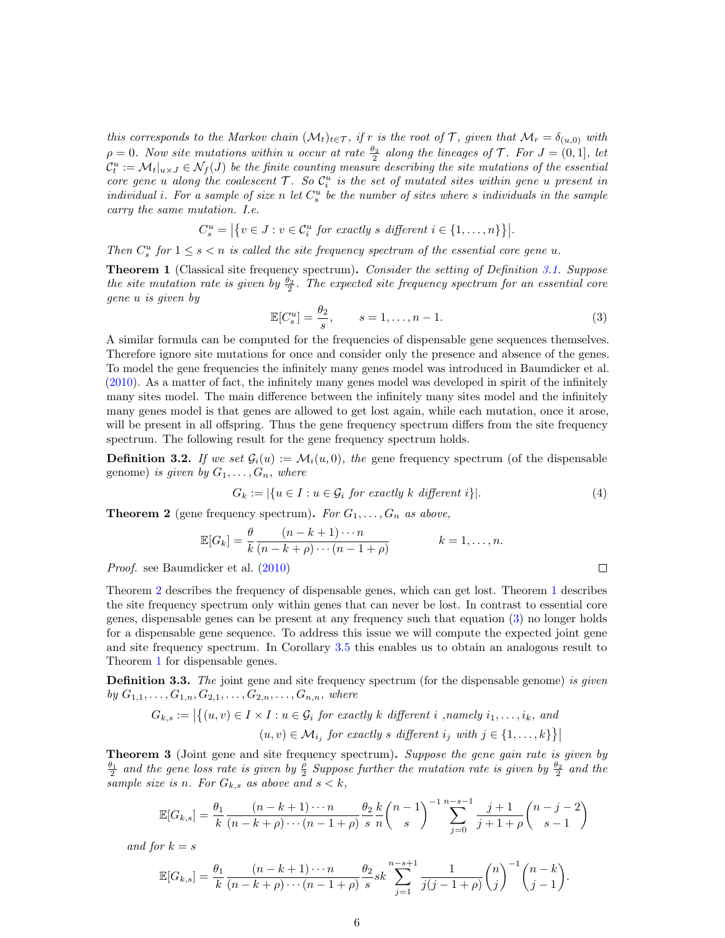this corresponds to the Markov chain  $(M_t)_{t\in\mathcal{T}}$ , if r is the root of T, given that  $\mathcal{M}_r = \delta_{(u,0)}$  with  $\rho = 0$ . Now site mutations within u occur at rate  $\frac{\theta_2}{2}$  along the lineages of T. For  $J = (0, 1]$ , let  $\mathcal{C}_t^u:=\mathcal{M}_t|_{u\times J}\in \mathcal{N}_f(J)$  be the finite counting measure describing the site mutations of the essential core gene u along the coalescent  $T$ . So  $C_i^u$  is the set of mutated sites within gene u present in individual i. For a sample of size n let  $C_s^u$  be the number of sites where s individuals in the sample carry the same mutation. I.e.

$$
C_s^u = |\{v \in J : v \in C_i^u \text{ for exactly } s \text{ different } i \in \{1, \dots, n\}\}|.
$$

Then  $C_s^u$  for  $1 \leq s < n$  is called the site frequency spectrum of the essential core gene u.

<span id="page-5-2"></span>**Theorem 1** (Classical site frequency spectrum). Consider the setting of Definition [3.1.](#page-4-2) Suppose the site mutation rate is given by  $\frac{\theta_2}{2}$ . The expected site frequency spectrum for an essential core gene u is given by

<span id="page-5-3"></span>
$$
\mathbb{E}[C_s^u] = \frac{\theta_2}{s}, \qquad s = 1, \dots, n-1.
$$
\n(3)

A similar formula can be computed for the frequencies of dispensable gene sequences themselves. Therefore ignore site mutations for once and consider only the presence and absence of the genes. To model the gene frequencies the infinitely many genes model was introduced in Baumdicker et al. [\(2010\)](#page-22-0). As a matter of fact, the infinitely many genes model was developed in spirit of the infinitely many sites model. The main difference between the infinitely many sites model and the infinitely many genes model is that genes are allowed to get lost again, while each mutation, once it arose, will be present in all offspring. Thus the gene frequency spectrum differs from the site frequency spectrum. The following result for the gene frequency spectrum holds.

**Definition 3.2.** If we set  $\mathcal{G}_i(u) := \mathcal{M}_i(u, 0)$ , the gene frequency spectrum (of the dispensable genome) is given by  $G_1, \ldots, G_n$ , where

$$
G_k := |\{u \in I : u \in \mathcal{G}_i \text{ for exactly } k \text{ different } i\}|. \tag{4}
$$

<span id="page-5-1"></span>**Theorem 2** (gene frequency spectrum). For  $G_1, \ldots, G_n$  as above,

$$
\mathbb{E}[G_k] = \frac{\theta}{k} \frac{(n-k+1)\cdots n}{(n-k+\rho)\cdots(n-1+\rho)} \qquad k=1,\ldots,n.
$$

Proof. see Baumdicker et al. [\(2010\)](#page-22-0)

Theorem [2](#page-5-1) describes the frequency of dispensable genes, which can get lost. Theorem [1](#page-5-2) describes the site frequency spectrum only within genes that can never be lost. In contrast to essential core genes, dispensable genes can be present at any frequency such that equation [\(3\)](#page-5-3) no longer holds for a dispensable gene sequence. To address this issue we will compute the expected joint gene and site frequency spectrum. In Corollary [3.5](#page-6-0) this enables us to obtain an analogous result to Theorem [1](#page-5-2) for dispensable genes.

<span id="page-5-4"></span>**Definition 3.3.** The joint gene and site frequency spectrum (for the dispensable genome) is given by  $G_{1,1}, \ldots, G_{1,n}, G_{2,1}, \ldots, G_{2,n}, \ldots, G_{n,n}$ , where

$$
G_{k,s} := \left| \left\{ (u,v) \in I \times I : u \in \mathcal{G}_i \text{ for exactly } k \text{ different } i \text{, namely } i_1, \dots, i_k, \text{ and } (u,v) \in \mathcal{M}_{i_j} \text{ for exactly } s \text{ different } i_j \text{ with } j \in \{1,\dots,k\} \right\} \right|
$$

<span id="page-5-0"></span>**Theorem 3** (Joint gene and site frequency spectrum). Suppose the gene gain rate is given by  $\frac{\theta_1}{2}$  and the gene loss rate is given by  $\frac{\rho}{2}$  Suppose further the mutation rate is given by  $\frac{\theta_2}{2}$  and the sample size is n. For  $G_{k,s}$  as above and  $s < k$ ,

$$
\mathbb{E}[G_{k,s}] = \frac{\theta_1}{k} \frac{(n-k+1)\cdots n}{(n-k+\rho)\cdots(n-1+\rho)} \frac{\theta_2}{s} \frac{k}{n} {n-1 \choose s}^{-1} \sum_{j=0}^{n-s-1} \frac{j+1}{j+1+\rho} {n-j-2 \choose s-1}
$$

and for  $k = s$ 

$$
\mathbb{E}[G_{k,s}] = \frac{\theta_1}{k} \frac{(n-k+1)\cdots n}{(n-k+\rho)\cdots(n-1+\rho)} \frac{\theta_2}{s} s k \sum_{j=1}^{n-s+1} \frac{1}{j(j-1+\rho)} {n \choose j}^{-1} {n-k \choose j-1}.
$$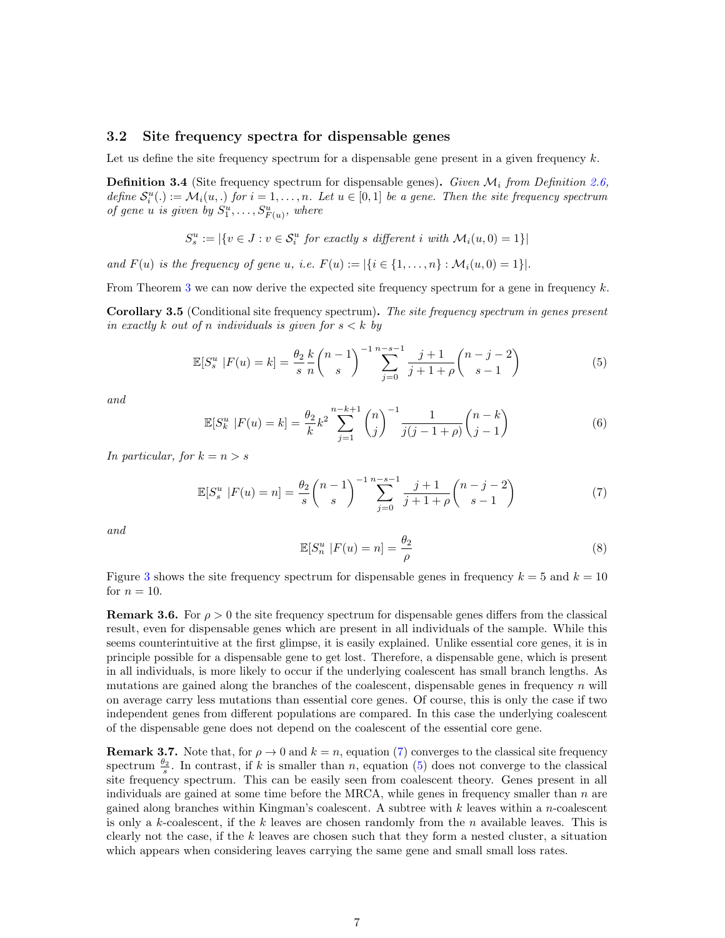#### 3.2 Site frequency spectra for dispensable genes

Let us define the site frequency spectrum for a dispensable gene present in a given frequency  $k$ .

<span id="page-6-5"></span>**Definition 3.4** (Site frequency spectrum for dispensable genes). Given  $\mathcal{M}_i$  from Definition [2.6,](#page-3-1) define  $S_i^u(.) := \mathcal{M}_i(u,.)$  for  $i = 1, \ldots, n$ . Let  $u \in [0,1]$  be a gene. Then the site frequency spectrum of gene u is given by  $S_1^u, \ldots, S_{F(u)}^u$ , where

$$
S_s^u := |\{v \in J : v \in S_i^u \text{ for exactly } s \text{ different } i \text{ with } \mathcal{M}_i(u, 0) = 1\}|
$$

and  $F(u)$  is the frequency of gene u, i.e.  $F(u) := |\{i \in \{1, ..., n\} : \mathcal{M}_i(u, 0) = 1\}|$ .

From Theorem [3](#page-5-0) we can now derive the expected site frequency spectrum for a gene in frequency  $k$ .

<span id="page-6-0"></span>Corollary 3.5 (Conditional site frequency spectrum). The site frequency spectrum in genes present in exactly k out of n individuals is given for  $s < k$  by

<span id="page-6-2"></span>
$$
\mathbb{E}[S_s^u \mid F(u) = k] = \frac{\theta_2}{s} \frac{k}{n} {n-1 \choose s}^{-1} \sum_{j=0}^{n-s-1} \frac{j+1}{j+1+\rho} {n-j-2 \choose s-1}
$$
(5)

and

<span id="page-6-3"></span>
$$
\mathbb{E}[S_k^u \mid F(u) = k] = \frac{\theta_2}{k} k^2 \sum_{j=1}^{n-k+1} {n \choose j}^{-1} \frac{1}{j(j-1+\rho)} {n-k \choose j-1}
$$
(6)

In particular, for  $k = n > s$ 

<span id="page-6-1"></span>
$$
\mathbb{E}[S_s^u \mid F(u) = n] = \frac{\theta_2}{s} {n-1 \choose s}^{-1} \sum_{j=0}^{n-s-1} \frac{j+1}{j+1+\rho} {n-j-2 \choose s-1} \tag{7}
$$

and

<span id="page-6-4"></span>
$$
\mathbb{E}[S_n^u \mid F(u) = n] = \frac{\theta_2}{\rho} \tag{8}
$$

Figure [3](#page-7-1) shows the site frequency spectrum for dispensable genes in frequency  $k = 5$  and  $k = 10$ for  $n = 10$ .

**Remark 3.6.** For  $\rho > 0$  the site frequency spectrum for dispensable genes differs from the classical result, even for dispensable genes which are present in all individuals of the sample. While this seems counterintuitive at the first glimpse, it is easily explained. Unlike essential core genes, it is in principle possible for a dispensable gene to get lost. Therefore, a dispensable gene, which is present in all individuals, is more likely to occur if the underlying coalescent has small branch lengths. As mutations are gained along the branches of the coalescent, dispensable genes in frequency  $n$  will on average carry less mutations than essential core genes. Of course, this is only the case if two independent genes from different populations are compared. In this case the underlying coalescent of the dispensable gene does not depend on the coalescent of the essential core gene.

**Remark 3.7.** Note that, for  $\rho \to 0$  and  $k = n$ , equation [\(7\)](#page-6-1) converges to the classical site frequency spectrum  $\frac{\theta_2}{s}$ . In contrast, if k is smaller than n, equation [\(5\)](#page-6-2) does not converge to the classical site frequency spectrum. This can be easily seen from coalescent theory. Genes present in all individuals are gained at some time before the MRCA, while genes in frequency smaller than  $n$  are gained along branches within Kingman's coalescent. A subtree with  $k$  leaves within a n-coalescent is only a k-coalescent, if the k leaves are chosen randomly from the n available leaves. This is clearly not the case, if the  $k$  leaves are chosen such that they form a nested cluster, a situation which appears when considering leaves carrying the same gene and small small loss rates.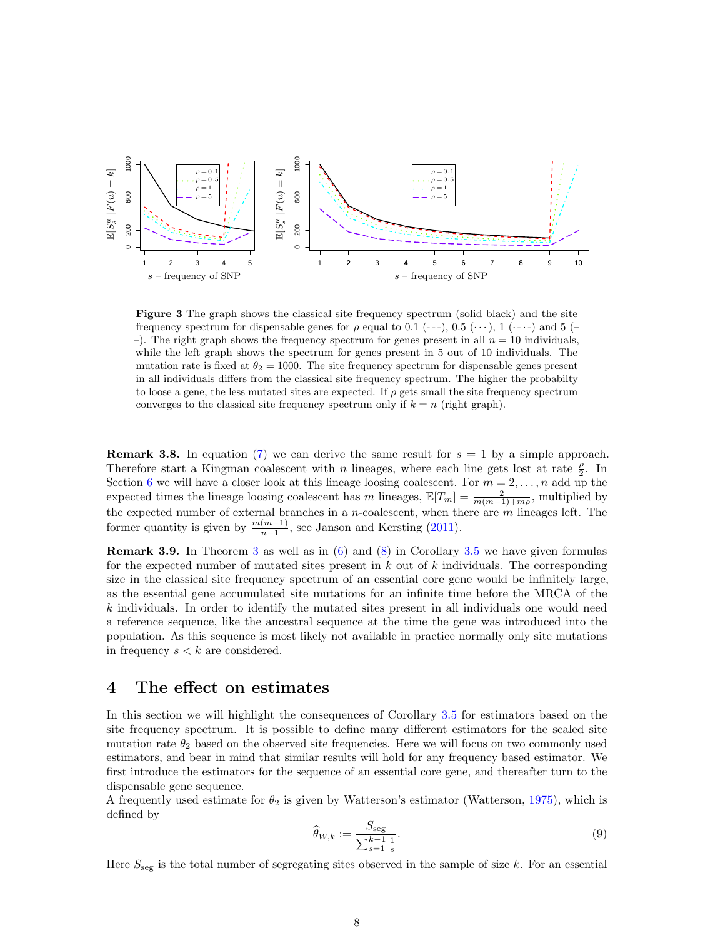

<span id="page-7-1"></span>Figure 3 The graph shows the classical site frequency spectrum (solid black) and the site frequency spectrum for dispensable genes for  $\rho$  equal to 0.1 (---), 0.5 ( $\cdots$ ), 1 ( $\cdots$ -) and 5 (-–). The right graph shows the frequency spectrum for genes present in all  $n = 10$  individuals, while the left graph shows the spectrum for genes present in 5 out of 10 individuals. The mutation rate is fixed at  $\theta_2 = 1000$ . The site frequency spectrum for dispensable genes present in all individuals differs from the classical site frequency spectrum. The higher the probabilty to loose a gene, the less mutated sites are expected. If  $\rho$  gets small the site frequency spectrum converges to the classical site frequency spectrum only if  $k = n$  (right graph).

**Remark 3.8.** In equation [\(7\)](#page-6-1) we can derive the same result for  $s = 1$  by a simple approach. Therefore start a Kingman coalescent with n lineages, where each line gets lost at rate  $\frac{\rho}{2}$ . In Section [6](#page-11-0) we will have a closer look at this lineage loosing coalescent. For  $m = 2, \ldots, n$  add up the expected times the lineage loosing coalescent has m lineages,  $\mathbb{E}[T_m] = \frac{2}{m(m-1)+m\rho}$ , multiplied by the expected number of external branches in a *n*-coalescent, when there are  $m$  lineages left. The former quantity is given by  $\frac{m(m-1)}{n-1}$ , see Janson and Kersting [\(2011\)](#page-22-13).

**Remark [3](#page-5-0).9.** In Theorem 3 as well as in  $(6)$  and  $(8)$  in Corollary [3.5](#page-6-0) we have given formulas for the expected number of mutated sites present in  $k$  out of  $k$  individuals. The corresponding size in the classical site frequency spectrum of an essential core gene would be infinitely large, as the essential gene accumulated site mutations for an infinite time before the MRCA of the k individuals. In order to identify the mutated sites present in all individuals one would need a reference sequence, like the ancestral sequence at the time the gene was introduced into the population. As this sequence is most likely not available in practice normally only site mutations in frequency  $s < k$  are considered.

# <span id="page-7-0"></span>4 The effect on estimates

In this section we will highlight the consequences of Corollary [3.5](#page-6-0) for estimators based on the site frequency spectrum. It is possible to define many different estimators for the scaled site mutation rate  $\theta_2$  based on the observed site frequencies. Here we will focus on two commonly used estimators, and bear in mind that similar results will hold for any frequency based estimator. We first introduce the estimators for the sequence of an essential core gene, and thereafter turn to the dispensable gene sequence.

A frequently used estimate for  $\theta_2$  is given by Watterson's estimator (Watterson, [1975\)](#page-23-2), which is defined by

$$
\widehat{\theta}_{W,k} := \frac{S_{\text{seg}}}{\sum_{s=1}^{k-1} \frac{1}{s}}.
$$
\n(9)

Here  $S_{\text{seg}}$  is the total number of segregating sites observed in the sample of size k. For an essential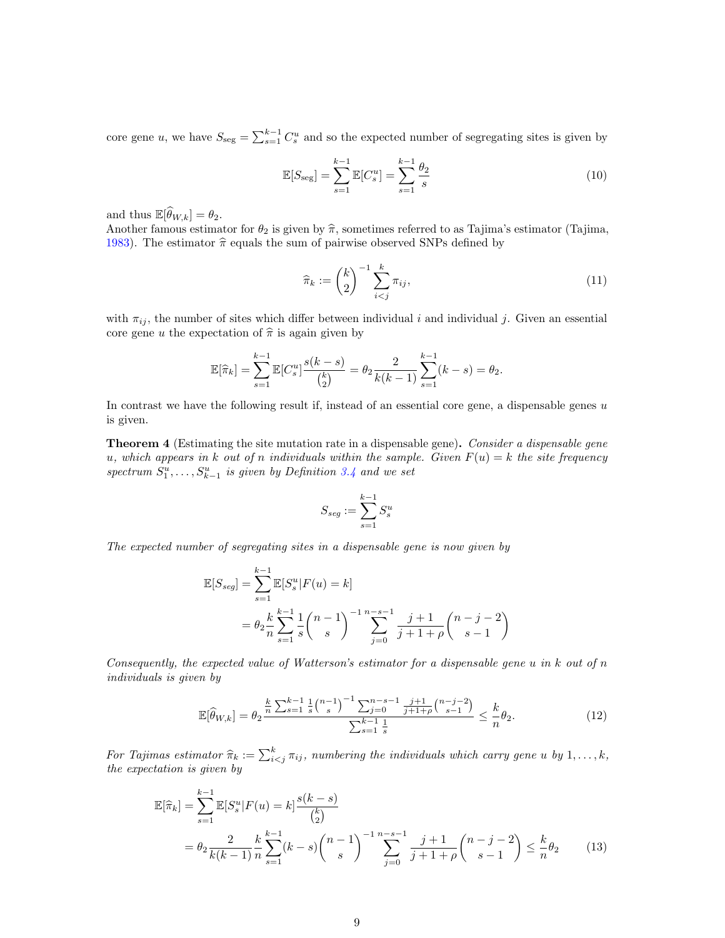core gene u, we have  $S_{\text{seg}} = \sum_{s=1}^{k-1} C_s^u$  and so the expected number of segregating sites is given by

$$
\mathbb{E}[S_{\text{seg}}] = \sum_{s=1}^{k-1} \mathbb{E}[C_s^u] = \sum_{s=1}^{k-1} \frac{\theta_2}{s}
$$
 (10)

and thus  $\mathbb{E}[\widehat{\theta}_{W,k}] = \theta_2$ .

Another famous estimator for  $\theta_2$  is given by  $\hat{\pi}$ , sometimes referred to as Tajima's estimator (Tajima, [1983\)](#page-23-3). The estimator  $\hat{\pi}$  equals the sum of pairwise observed SNPs defined by

$$
\widehat{\pi}_k := \binom{k}{2}^{-1} \sum_{i < j}^k \pi_{ij},\tag{11}
$$

with  $\pi_{ij}$ , the number of sites which differ between individual i and individual j. Given an essential core gene u the expectation of  $\hat{\pi}$  is again given by

$$
\mathbb{E}[\widehat{\pi}_k] = \sum_{s=1}^{k-1} \mathbb{E}[C_s^u] \frac{s(k-s)}{\binom{k}{2}} = \theta_2 \frac{2}{k(k-1)} \sum_{s=1}^{k-1} (k-s) = \theta_2.
$$

In contrast we have the following result if, instead of an essential core gene, a dispensable genes  $u$ is given.

<span id="page-8-0"></span>**Theorem 4** (Estimating the site mutation rate in a dispensable gene). Consider a dispensable gene u, which appears in k out of n individuals within the sample. Given  $F(u) = k$  the site frequency spectrum  $S_1^u, \ldots, S_{k-1}^u$  is given by Definition [3.4](#page-6-5) and we set

$$
S_{seg}:=\sum_{s=1}^{k-1}S_s^u
$$

The expected number of segregating sites in a dispensable gene is now given by

$$
\mathbb{E}[S_{seg}] = \sum_{s=1}^{k-1} \mathbb{E}[S_s^u | F(u) = k]
$$
  
=  $\theta_2 \frac{k}{n} \sum_{s=1}^{k-1} \frac{1}{s} {n-1 \choose s}^{-1} \sum_{j=0}^{n-s-1} \frac{j+1}{j+1+\rho} {n-j-2 \choose s-1}$ 

Consequently, the expected value of Watterson's estimator for a dispensable gene  $u$  in  $k$  out of  $n$ individuals is given by

<span id="page-8-2"></span><span id="page-8-1"></span>
$$
\mathbb{E}[\widehat{\theta}_{W,k}] = \theta_2 \frac{\frac{k}{n} \sum_{s=1}^{k-1} \frac{1}{s} {n-1 \choose s}^{-1} \sum_{j=0}^{n-s-1} \frac{j+1}{j+1+\rho} {n-j-2 \choose s-1}}{\sum_{s=1}^{k-1} \frac{1}{s}} \le \frac{k}{n} \theta_2.
$$
 (12)

For Tajimas estimator  $\hat{\pi}_k := \sum_{i \leq j}^k \pi_{ij}$ , numbering the individuals which carry gene u by  $1, \ldots, k$ , the correctation is given by the expectation is given by

$$
\mathbb{E}[\hat{\pi}_k] = \sum_{s=1}^{k-1} \mathbb{E}[S_s^u | F(u) = k] \frac{s(k-s)}{\binom{k}{2}} \n= \theta_2 \frac{2}{k(k-1)} \frac{k}{n} \sum_{s=1}^{k-1} (k-s) \binom{n-1}{s}^{-1} \sum_{j=0}^{n-s-1} \frac{j+1}{j+1+\rho} \binom{n-j-2}{s-1} \le \frac{k}{n} \theta_2
$$
\n(13)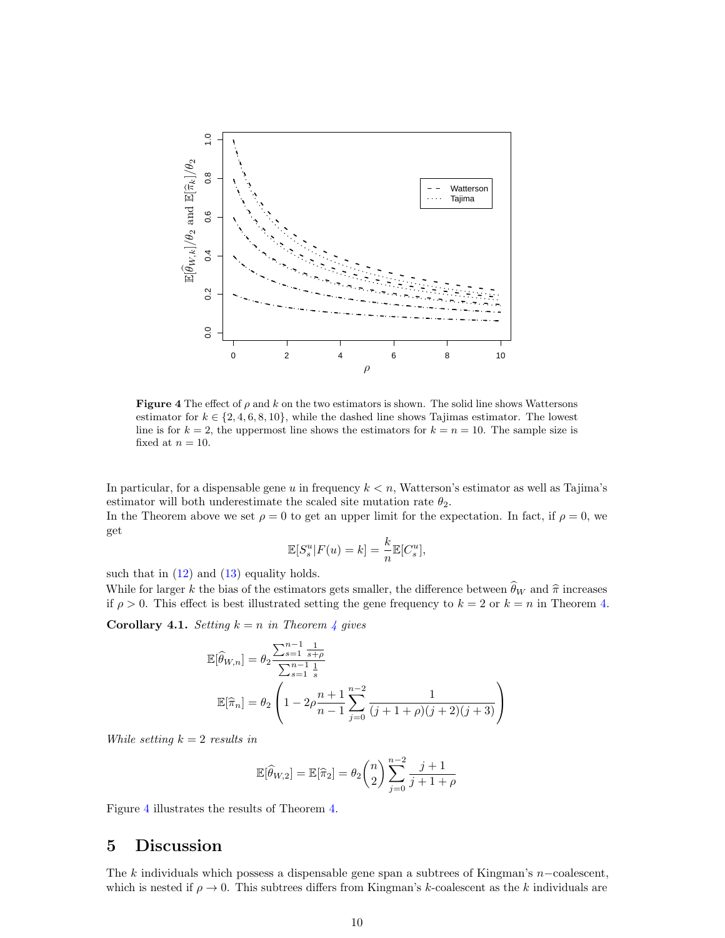

<span id="page-9-1"></span>Figure 4 The effect of  $\rho$  and k on the two estimators is shown. The solid line shows Wattersons estimator for  $k \in \{2, 4, 6, 8, 10\}$ , while the dashed line shows Tajimas estimator. The lowest line is for  $k = 2$ , the uppermost line shows the estimators for  $k = n = 10$ . The sample size is fixed at  $n = 10$ .

In particular, for a dispensable gene u in frequency  $k < n$ , Watterson's estimator as well as Tajima's estimator will both underestimate the scaled site mutation rate  $\theta_2$ .

In the Theorem above we set  $\rho = 0$  to get an upper limit for the expectation. In fact, if  $\rho = 0$ , we get

$$
\mathbb{E}[S_s^u | F(u) = k] = \frac{k}{n} \mathbb{E}[C_s^u],
$$

such that in  $(12)$  and  $(13)$  equality holds.

While for larger k the bias of the estimators gets smaller, the difference between  $\widehat{\theta}_W$  and  $\widehat{\pi}$  increases if  $\rho > 0$ . This effect is best illustrated setting the gene frequency to  $k = 2$  or  $k = n$  in Theorem [4.](#page-8-0)

**Corollary [4](#page-8-0).1.** Setting  $k = n$  in Theorem 4 gives

$$
\mathbb{E}[\widehat{\theta}_{W,n}] = \theta_2 \frac{\sum_{s=1}^{n-1} \frac{1}{s+\rho}}{\sum_{s=1}^{n-1} \frac{1}{s}}
$$

$$
\mathbb{E}[\widehat{\pi}_n] = \theta_2 \left(1 - 2\rho \frac{n+1}{n-1} \sum_{j=0}^{n-2} \frac{1}{(j+1+\rho)(j+2)(j+3)}\right)
$$

While setting  $k = 2$  results in

$$
\mathbb{E}[\widehat{\theta}_{W,2}] = \mathbb{E}[\widehat{\pi}_2] = \theta_2 \binom{n}{2} \sum_{j=0}^{n-2} \frac{j+1}{j+1+\rho}
$$

Figure [4](#page-9-1) illustrates the results of Theorem [4.](#page-8-0)

# <span id="page-9-0"></span>5 Discussion

The k individuals which possess a dispensable gene span a subtrees of Kingman's n−coalescent, which is nested if  $\rho \to 0$ . This subtrees differs from Kingman's k-coalescent as the k individuals are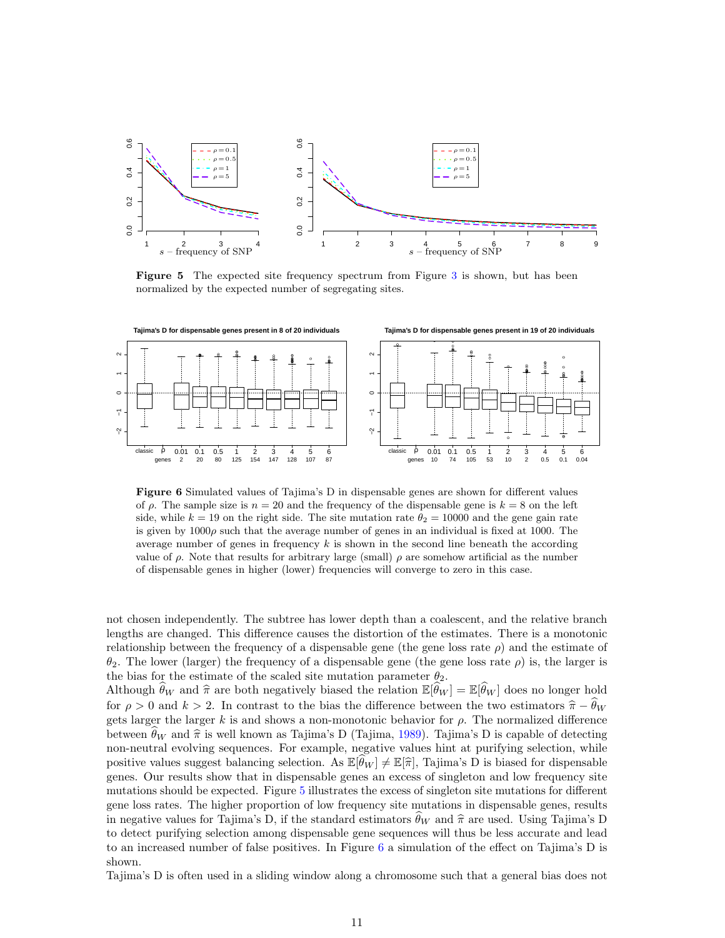

<span id="page-10-0"></span>Figure 5 The expected site frequency spectrum from Figure [3](#page-7-1) is shown, but has been normalized by the expected number of segregating sites.



<span id="page-10-1"></span>Figure 6 Simulated values of Tajima's D in dispensable genes are shown for different values of  $\rho$ . The sample size is  $n = 20$  and the frequency of the dispensable gene is  $k = 8$  on the left side, while  $k = 19$  on the right side. The site mutation rate  $\theta_2 = 10000$  and the gene gain rate is given by  $1000\rho$  such that the average number of genes in an individual is fixed at 1000. The average number of genes in frequency  $k$  is shown in the second line beneath the according value of  $\rho$ . Note that results for arbitrary large (small)  $\rho$  are somehow artificial as the number of dispensable genes in higher (lower) frequencies will converge to zero in this case.

not chosen independently. The subtree has lower depth than a coalescent, and the relative branch lengths are changed. This difference causes the distortion of the estimates. There is a monotonic relationship between the frequency of a dispensable gene (the gene loss rate  $\rho$ ) and the estimate of  $θ_2$ . The lower (larger) the frequency of a dispensable gene (the gene loss rate  $ρ$ ) is, the larger is the bias for the estimate of the scaled site mutation parameter  $\theta_2$ .

Although  $\hat{\theta}_W$  and  $\hat{\pi}$  are both negatively biased the relation  $\mathbb{E}[\hat{\theta}_W] = \mathbb{E}[\hat{\theta}_W ]$  does no longer hold for  $\rho > 0$  and  $k > 2$ . In contrast to the bias the difference between the two estimators  $\hat{\pi} - \hat{\theta}_W$ gets larger the larger k is and shows a non-monotonic behavior for  $\rho$ . The normalized difference between  $\theta_W$  and  $\hat{\pi}$  is well known as Tajima's D (Tajima, [1989\)](#page-23-4). Tajima's D is capable of detecting non-neutral evolving sequences. For example, negative values hint at purifying selection, while positive values suggest balancing selection. As  $\mathbb{E}[\theta_W] \neq \mathbb{E}[\hat{\pi}]$ , Tajima's D is biased for dispensable genes. Our results show that in dispensable genes an excess of singleton and low frequency site mutations should be expected. Figure [5](#page-10-0) illustrates the excess of singleton site mutations for different gene loss rates. The higher proportion of low frequency site mutations in dispensable genes, results in negative values for Tajima's D, if the standard estimators  $\hat{\theta}_W$  and  $\hat{\pi}$  are used. Using Tajima's D to detect purifying selection among dispensable gene sequences will thus be less accurate and lead to an increased number of false positives. In Figure [6](#page-10-1) a simulation of the effect on Tajima's D is shown.

Tajima's D is often used in a sliding window along a chromosome such that a general bias does not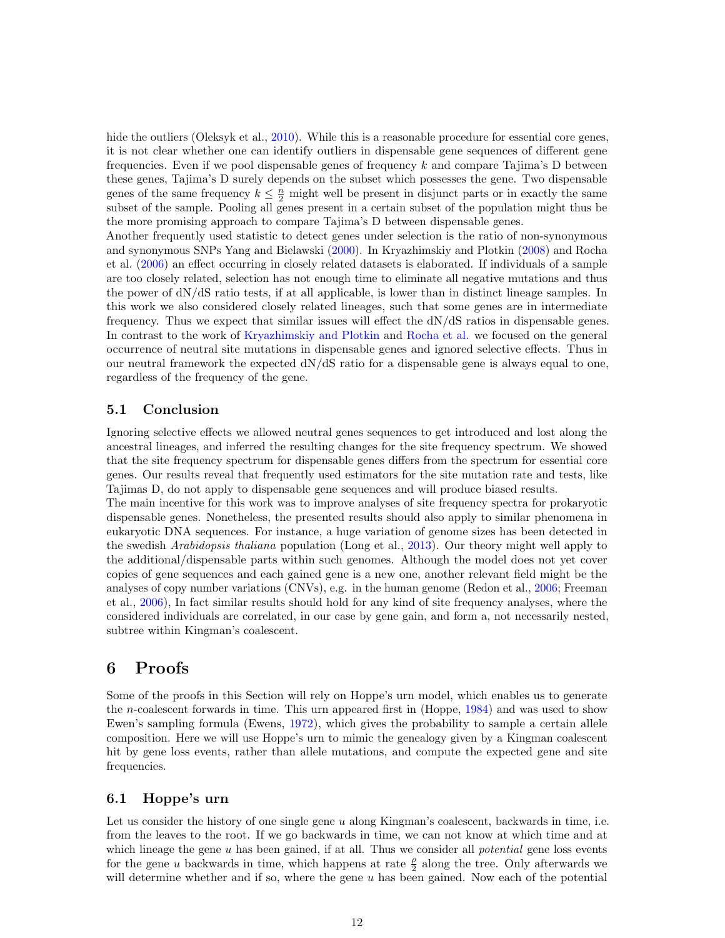hide the outliers (Oleksyk et al., [2010\)](#page-23-7). While this is a reasonable procedure for essential core genes, it is not clear whether one can identify outliers in dispensable gene sequences of different gene frequencies. Even if we pool dispensable genes of frequency  $k$  and compare Tajima's D between these genes, Tajima's D surely depends on the subset which possesses the gene. Two dispensable genes of the same frequency  $k \leq \frac{n}{2}$  might well be present in disjunct parts or in exactly the same subset of the sample. Pooling all genes present in a certain subset of the population might thus be the more promising approach to compare Tajima's D between dispensable genes.

Another frequently used statistic to detect genes under selection is the ratio of non-synonymous and synonymous SNPs Yang and Bielawski [\(2000\)](#page-23-8). In Kryazhimskiy and Plotkin [\(2008\)](#page-22-14) and Rocha et al. [\(2006\)](#page-23-9) an effect occurring in closely related datasets is elaborated. If individuals of a sample are too closely related, selection has not enough time to eliminate all negative mutations and thus the power of dN/dS ratio tests, if at all applicable, is lower than in distinct lineage samples. In this work we also considered closely related lineages, such that some genes are in intermediate frequency. Thus we expect that similar issues will effect the dN/dS ratios in dispensable genes. In contrast to the work of [Kryazhimskiy and Plotkin](#page-22-14) and [Rocha et al.](#page-23-9) we focused on the general occurrence of neutral site mutations in dispensable genes and ignored selective effects. Thus in our neutral framework the expected dN/dS ratio for a dispensable gene is always equal to one, regardless of the frequency of the gene.

## 5.1 Conclusion

Ignoring selective effects we allowed neutral genes sequences to get introduced and lost along the ancestral lineages, and inferred the resulting changes for the site frequency spectrum. We showed that the site frequency spectrum for dispensable genes differs from the spectrum for essential core genes. Our results reveal that frequently used estimators for the site mutation rate and tests, like Tajimas D, do not apply to dispensable gene sequences and will produce biased results.

The main incentive for this work was to improve analyses of site frequency spectra for prokaryotic dispensable genes. Nonetheless, the presented results should also apply to similar phenomena in eukaryotic DNA sequences. For instance, a huge variation of genome sizes has been detected in the swedish *Arabidopsis thaliana* population (Long et al., [2013\)](#page-23-10). Our theory might well apply to the additional/dispensable parts within such genomes. Although the model does not yet cover copies of gene sequences and each gained gene is a new one, another relevant field might be the analyses of copy number variations (CNVs), e.g. in the human genome (Redon et al., [2006;](#page-23-11) Freeman et al., [2006\)](#page-22-15), In fact similar results should hold for any kind of site frequency analyses, where the considered individuals are correlated, in our case by gene gain, and form a, not necessarily nested, subtree within Kingman's coalescent.

## <span id="page-11-0"></span>6 Proofs

Some of the proofs in this Section will rely on Hoppe's urn model, which enables us to generate the n-coalescent forwards in time. This urn appeared first in (Hoppe, [1984\)](#page-22-16) and was used to show Ewen's sampling formula (Ewens, [1972\)](#page-22-17), which gives the probability to sample a certain allele composition. Here we will use Hoppe's urn to mimic the genealogy given by a Kingman coalescent hit by gene loss events, rather than allele mutations, and compute the expected gene and site frequencies.

## 6.1 Hoppe's urn

Let us consider the history of one single gene u along Kingman's coalescent, backwards in time, i.e. from the leaves to the root. If we go backwards in time, we can not know at which time and at which lineage the gene  $u$  has been gained, if at all. Thus we consider all *potential* gene loss events for the gene u backwards in time, which happens at rate  $\frac{\rho}{2}$  along the tree. Only afterwards we will determine whether and if so, where the gene  $u$  has been gained. Now each of the potential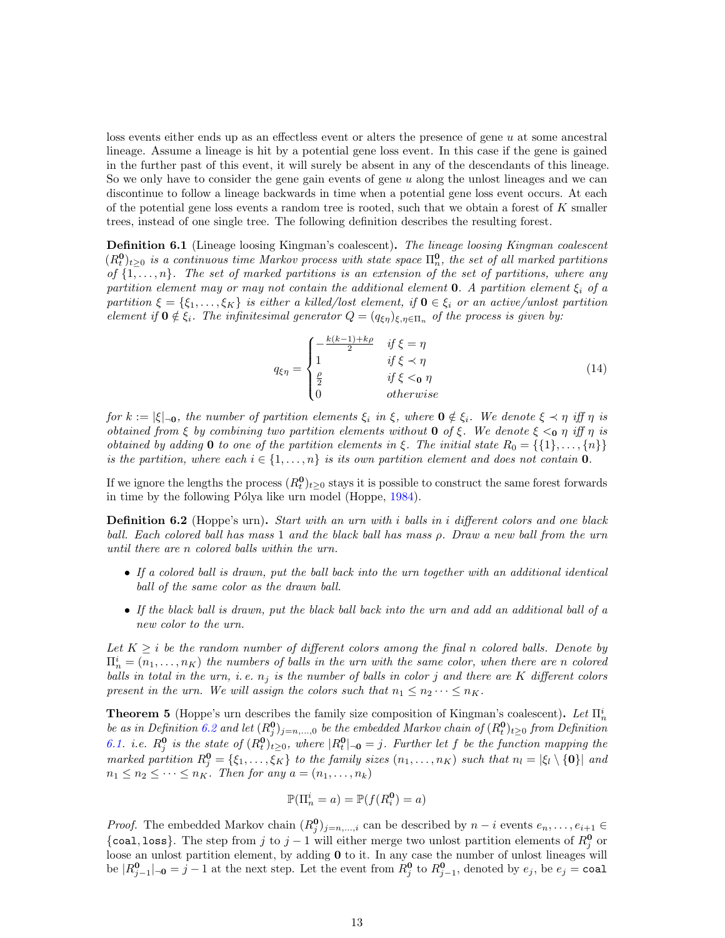loss events either ends up as an effectless event or alters the presence of gene u at some ancestral lineage. Assume a lineage is hit by a potential gene loss event. In this case if the gene is gained in the further past of this event, it will surely be absent in any of the descendants of this lineage. So we only have to consider the gene gain events of gene  $u$  along the unlost lineages and we can discontinue to follow a lineage backwards in time when a potential gene loss event occurs. At each of the potential gene loss events a random tree is rooted, such that we obtain a forest of  $K$  smaller trees, instead of one single tree. The following definition describes the resulting forest.

<span id="page-12-1"></span>**Definition 6.1** (Lineage loosing Kingman's coalescent). The lineage loosing Kingman coalescent  $(R_t^0)_{t\geq0}$  is a continuous time Markov process with state space  $\Pi_n^0$ , the set of all marked partitions of  $\{1, \ldots, n\}$ . The set of marked partitions is an extension of the set of partitions, where any partition element may or may not contain the additional element **0**. A partition element  $\xi_i$  of a partition  $\xi = \{\xi_1, \ldots, \xi_K\}$  is either a killed/lost element, if  $\mathbf{0} \in \xi_i$  or an active/unlost partition element if  $\mathbf{0} \notin \xi_i$ . The infinitesimal generator  $Q = (q_{\xi\eta})_{\xi,\eta \in \Pi_n}$  of the process is given by:

$$
q_{\xi\eta} = \begin{cases} -\frac{k(k-1)+k\rho}{2} & \text{if } \xi = \eta\\ 1 & \text{if } \xi \prec \eta\\ \frac{\rho}{2} & \text{if } \xi < 0\\ 0 & \text{otherwise} \end{cases}
$$
(14)

for  $k := |\xi|_{\neg \mathbf{0}}$ , the number of partition elements  $\xi_i$  in  $\xi$ , where  $\mathbf{0} \notin \xi_i$ . We denote  $\xi \prec \eta$  iff  $\eta$  is obtained from ξ by combining two partition elements without **0** of ξ. We denote  $\xi \leq_0 \eta$  iff  $\eta$  is obtained by adding 0 to one of the partition elements in ξ. The initial state  $R_0 = \{\{1\}, \ldots, \{n\}\}\$ is the partition, where each  $i \in \{1, \ldots, n\}$  is its own partition element and does not contain **0**.

If we ignore the lengths the process  $(R_t^0)_{t\geq 0}$  stays it is possible to construct the same forest forwards in time by the following Pólya like urn model (Hoppe, [1984\)](#page-22-16).

<span id="page-12-0"></span>**Definition 6.2** (Hoppe's urn). Start with an urn with i balls in i different colors and one black ball. Each colored ball has mass 1 and the black ball has mass ρ. Draw a new ball from the urn until there are n colored balls within the urn.

- If a colored ball is drawn, put the ball back into the urn together with an additional identical ball of the same color as the drawn ball.
- If the black ball is drawn, put the black ball back into the urn and add an additional ball of a new color to the urn.

Let  $K \geq i$  be the random number of different colors among the final n colored balls. Denote by  $\Pi_n^i = (n_1, \ldots, n_K)$  the numbers of balls in the urn with the same color, when there are n colored balls in total in the urn, i.e.  $n_j$  is the number of balls in color j and there are K different colors present in the urn. We will assign the colors such that  $n_1 \leq n_2 \cdots \leq n_K$ .

<span id="page-12-2"></span>**Theorem 5** (Hoppe's urn describes the family size composition of Kingman's coalescent). Let  $\Pi_n^i$ be as in Definition [6.2](#page-12-0) and let  $(R_j^0)_{j=n,\dots,0}$  be the embedded Markov chain of  $(R_t^0)_{t\geq0}$  from Definition [6.1.](#page-12-1) i.e.  $R_j^0$  is the state of  $(R_t^0)_{t\geq0}$ , where  $|R_t^0|_{\neg 0} = j$ . Further let f be the function mapping the marked partition  $R_j^0 = \{\xi_1, \ldots, \xi_K\}$  to the family sizes  $(n_1, \ldots, n_K)$  such that  $n_l = |\xi_l \setminus \{0\}|$  and  $n_1 \leq n_2 \leq \cdots \leq n_K$ . Then for any  $a = (n_1, \ldots, n_k)$ 

$$
\mathbb{P}(\Pi_n^i = a) = \mathbb{P}(f(R_i^0) = a)
$$

*Proof.* The embedded Markov chain  $(R_j^0)_{j=n,\dots,i}$  can be described by  $n-i$  events  $e_n, \dots, e_{i+1} \in$ {coal, loss}. The step from j to  $j-1$  will either merge two unlost partition elements of  $R_j^0$  or loose an unlost partition element, by adding **0** to it. In any case the number of unlost lineages will be  $|R_{j-1}^0|=j-1$  at the next step. Let the event from  $R_j^0$  to  $R_{j-1}^0$ , denoted by  $e_j$ , be  $e_j = \text{coal}$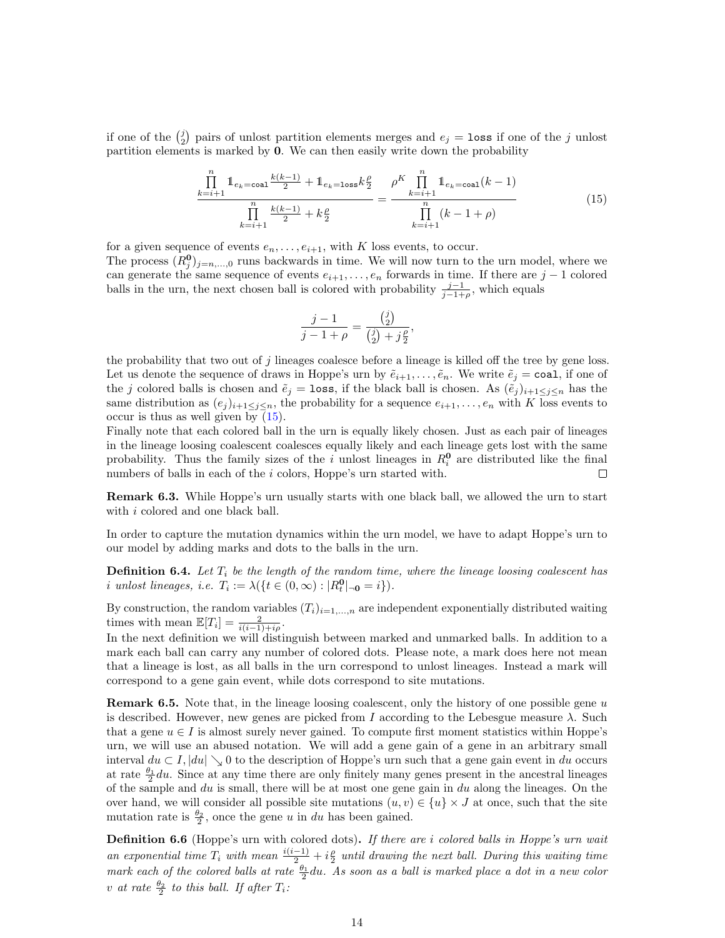if one of the  $\binom{j}{2}$  pairs of unlost partition elements merges and  $e_j = \texttt{loss}$  if one of the j unlost partition elements is marked by 0. We can then easily write down the probability

<span id="page-13-0"></span>
$$
\frac{\prod_{k=i+1}^{n} \mathbb{1}_{e_k = \text{coal}} \frac{k(k-1)}{2} + \mathbb{1}_{e_k = \text{loss}} k \frac{\rho}{2}}{\prod_{k=i+1}^{n} \frac{k(k-1)}{2} + k \frac{\rho}{2}} = \frac{\rho^{K} \prod_{k=i+1}^{n} \mathbb{1}_{e_k = \text{coal}}(k-1)}{\prod_{k=i+1}^{n} (k-1+\rho)}
$$
(15)

for a given sequence of events  $e_n, \ldots, e_{i+1}$ , with K loss events, to occur. The process  $(R_j^0)_{j=n,\dots,0}$  runs backwards in time. We will now turn to the urn model, where we can generate the same sequence of events  $e_{i+1}, \ldots, e_n$  forwards in time. If there are  $j-1$  colored balls in the urn, the next chosen ball is colored with probability  $\frac{j-1}{j-1+\rho}$ , which equals

$$
\frac{j-1}{j-1+\rho} = \frac{{j \choose 2}}{{j \choose 2} + j\frac{\rho}{2}},
$$

the probability that two out of j lineages coalesce before a lineage is killed off the tree by gene loss. Let us denote the sequence of draws in Hoppe's urn by  $\tilde{e}_{i+1}, \ldots, \tilde{e}_n$ . We write  $\tilde{e}_j = \text{coal}$ , if one of the j colored balls is chosen and  $\tilde{e}_j = \text{loss}$ , if the black ball is chosen. As  $(\tilde{e}_j)_{i+1 \leq j \leq n}$  has the same distribution as  $(e_j)_{i+1\leq j\leq n}$ , the probability for a sequence  $e_{i+1}, \ldots, e_n$  with K loss events to occur is thus as well given by [\(15\)](#page-13-0).

Finally note that each colored ball in the urn is equally likely chosen. Just as each pair of lineages in the lineage loosing coalescent coalesces equally likely and each lineage gets lost with the same probability. Thus the family sizes of the i unlost lineages in  $R_i^0$  are distributed like the final numbers of balls in each of the *i* colors, Hoppe's urn started with.  $\Box$ 

Remark 6.3. While Hoppe's urn usually starts with one black ball, we allowed the urn to start with i colored and one black ball.

In order to capture the mutation dynamics within the urn model, we have to adapt Hoppe's urn to our model by adding marks and dots to the balls in the urn.

**Definition 6.4.** Let  $T_i$  be the length of the random time, where the lineage loosing coalescent has *i* unlost lineages, *i.e.*  $T_i := \lambda(\lbrace t \in (0, \infty) : |R_t^0|_{\neg \mathbf{0}} = i \rbrace).$ 

By construction, the random variables  $(T_i)_{i=1,\ldots,n}$  are independent exponentially distributed waiting times with mean  $\mathbb{E}[T_i] = \frac{2}{i(i-1)+i\rho}$ .

In the next definition we will distinguish between marked and unmarked balls. In addition to a mark each ball can carry any number of colored dots. Please note, a mark does here not mean that a lineage is lost, as all balls in the urn correspond to unlost lineages. Instead a mark will correspond to a gene gain event, while dots correspond to site mutations.

**Remark 6.5.** Note that, in the lineage loosing coalescent, only the history of one possible gene  $u$ is described. However, new genes are picked from I according to the Lebesgue measure  $\lambda$ . Such that a gene  $u \in I$  is almost surely never gained. To compute first moment statistics within Hoppe's urn, we will use an abused notation. We will add a gene gain of a gene in an arbitrary small interval  $du \,\subset I$ ,  $|du| \searrow 0$  to the description of Hoppe's urn such that a gene gain event in du occurs at rate  $\frac{\theta_1}{2}du$ . Since at any time there are only finitely many genes present in the ancestral lineages of the sample and  $du$  is small, there will be at most one gene gain in  $du$  along the lineages. On the over hand, we will consider all possible site mutations  $(u, v) \in \{u\} \times J$  at once, such that the site mutation rate is  $\frac{\theta_2}{2}$ , once the gene u in du has been gained.

<span id="page-13-1"></span>Definition 6.6 (Hoppe's urn with colored dots). If there are i colored balls in Hoppe's urn wait an exponential time  $T_i$  with mean  $\frac{i(i-1)}{2} + i\frac{\rho}{2}$  until drawing the next ball. During this waiting time mark each of the colored balls at rate  $\frac{\theta_1}{2}$ du. As soon as a ball is marked place a dot in a new color v at rate  $\frac{\theta_2}{2}$  to this ball. If after  $T_i$ :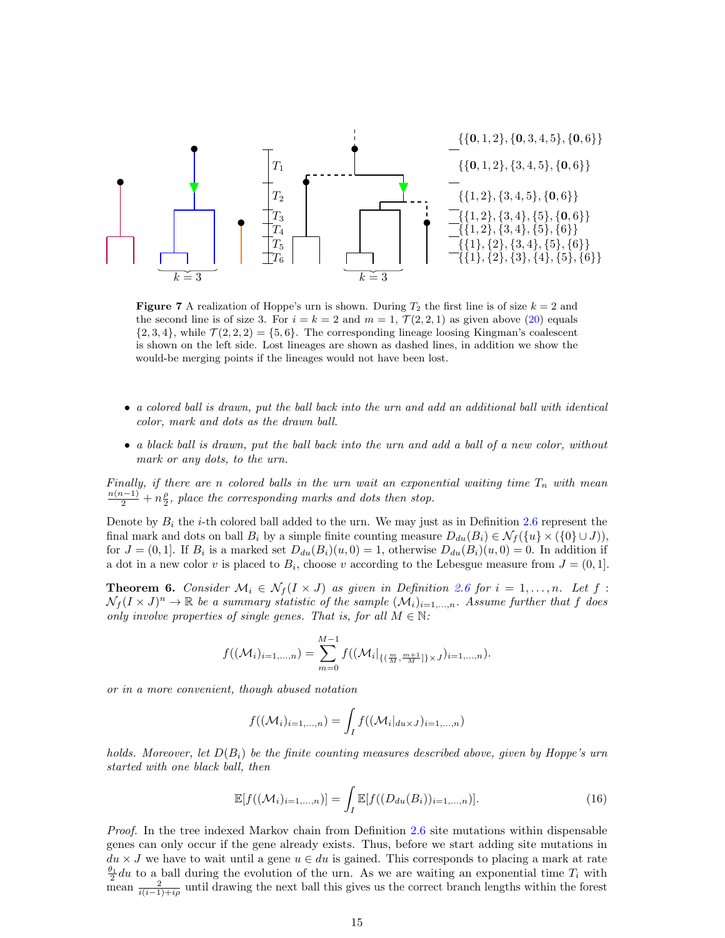

<span id="page-14-1"></span>**Figure 7** A realization of Hoppe's urn is shown. During  $T_2$  the first line is of size  $k = 2$  and the second line is of size 3. For  $i = k = 2$  and  $m = 1, \mathcal{T}(2, 2, 1)$  as given above [\(20\)](#page-16-0) equals  $\{2, 3, 4\}$ , while  $\mathcal{T}(2, 2, 2) = \{5, 6\}$ . The corresponding lineage loosing Kingman's coalescent is shown on the left side. Lost lineages are shown as dashed lines, in addition we show the would-be merging points if the lineages would not have been lost.

- a colored ball is drawn, put the ball back into the urn and add an additional ball with identical color, mark and dots as the drawn ball.
- a black ball is drawn, put the ball back into the urn and add a ball of a new color, without mark or any dots, to the urn.

Finally, if there are n colored balls in the urn wait an exponential waiting time  $T_n$  with mean  $\frac{n(n-1)}{2} + n\frac{\rho}{2}$ , place the corresponding marks and dots then stop.

Denote by  $B_i$  the *i*-th colored ball added to the urn. We may just as in Definition [2.6](#page-3-1) represent the final mark and dots on ball  $B_i$  by a simple finite counting measure  $D_{du}(B_i) \in \mathcal{N}_f({u} \times ({0} \cup J))$ , for  $J = (0, 1]$ . If  $B_i$  is a marked set  $D_{du}(B_i)(u, 0) = 1$ , otherwise  $D_{du}(B_i)(u, 0) = 0$ . In addition if a dot in a new color v is placed to  $B_i$ , choose v according to the Lebesgue measure from  $J = (0, 1]$ .

<span id="page-14-0"></span>**Theorem 6.** Consider  $\mathcal{M}_i \in \mathcal{N}_f(I \times J)$  as given in Definition [2.6](#page-3-1) for  $i = 1, \ldots, n$ . Let  $f$ :  $\mathcal{N}_f (I \times J)^n \to \mathbb{R}$  be a summary statistic of the sample  $(\mathcal{M}_i)_{i=1,\dots,n}$ . Assume further that f does only involve properties of single genes. That is, for all  $M \in \mathbb{N}$ :

$$
f((\mathcal{M}_i)_{i=1,...,n}) = \sum_{m=0}^{M-1} f((\mathcal{M}_i|_{\{(\frac{m}{M}, \frac{m+1}{M}]\} \times J})_{i=1,...,n}).
$$

or in a more convenient, though abused notation

$$
f((\mathcal{M}_i)_{i=1,\ldots,n}) = \int_I f((\mathcal{M}_i|_{du \times J})_{i=1,\ldots,n})
$$

holds. Moreover, let  $D(B_i)$  be the finite counting measures described above, given by Hoppe's urn started with one black ball, then

$$
\mathbb{E}[f((\mathcal{M}_i)_{i=1,\dots,n})] = \int_I \mathbb{E}[f((D_{du}(B_i))_{i=1,\dots,n})].
$$
\n(16)

Proof. In the tree indexed Markov chain from Definition [2.6](#page-3-1) site mutations within dispensable genes can only occur if the gene already exists. Thus, before we start adding site mutations in  $du \times J$  we have to wait until a gene  $u \in du$  is gained. This corresponds to placing a mark at rate  $\frac{\theta_1}{2}du$  to a ball during the evolution of the urn. As we are waiting an exponential time  $T_i$  with mean  $\frac{2}{i(i-1)+i\rho}$  until drawing the next ball this gives us the correct branch lengths within the forest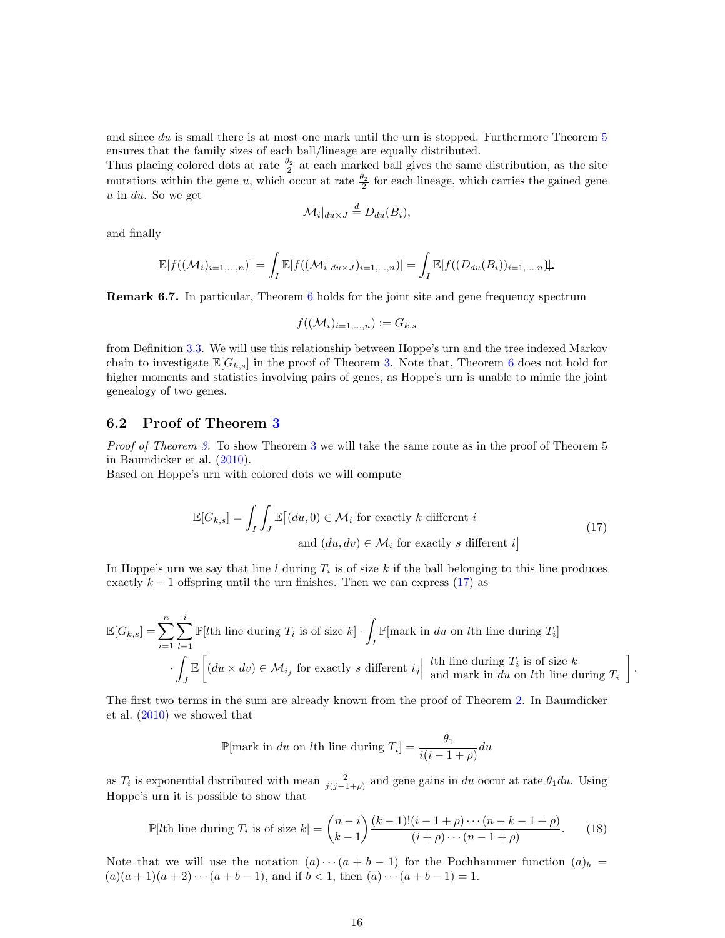and since du is small there is at most one mark until the urn is stopped. Furthermore Theorem [5](#page-12-2) ensures that the family sizes of each ball/lineage are equally distributed.

Thus placing colored dots at rate  $\frac{\theta_2}{2}$  at each marked ball gives the same distribution, as the site mutations within the gene u, which occur at rate  $\frac{\theta_2}{2}$  for each lineage, which carries the gained gene  $u$  in  $du$ . So we get

$$
\mathcal{M}_i|_{du \times J} \stackrel{d}{=} D_{du}(B_i),
$$

and finally

$$
\mathbb{E}[f((\mathcal{M}_i)_{i=1,\ldots,n})] = \int_I \mathbb{E}[f((\mathcal{M}_i|_{du\times J})_{i=1,\ldots,n})] = \int_I \mathbb{E}[f((D_{du}(B_i))_{i=1,\ldots,n})].
$$

Remark 6.7. In particular, Theorem [6](#page-14-0) holds for the joint site and gene frequency spectrum

$$
f((\mathcal{M}_i)_{i=1,\ldots,n}) := G_{k,s}
$$

from Definition [3.3.](#page-5-4) We will use this relationship between Hoppe's urn and the tree indexed Markov chain to investigate  $\mathbb{E}[G_{k,s}]$  in the proof of Theorem [3.](#page-5-0) Note that, Theorem [6](#page-14-0) does not hold for higher moments and statistics involving pairs of genes, as Hoppe's urn is unable to mimic the joint genealogy of two genes.

## 6.2 Proof of Theorem [3](#page-5-0)

Proof of Theorem [3.](#page-5-0) To show Theorem [3](#page-5-0) we will take the same route as in the proof of Theorem 5 in Baumdicker et al. [\(2010\)](#page-22-0).

Based on Hoppe's urn with colored dots we will compute

$$
\mathbb{E}[G_{k,s}] = \int_I \int_J \mathbb{E}[(du,0) \in \mathcal{M}_i \text{ for exactly } k \text{ different } i
$$
  
and  $(du, dv) \in \mathcal{M}_i \text{ for exactly } s \text{ different } i]$  (17)

<span id="page-15-0"></span>.

In Hoppe's urn we say that line  $l$  during  $T_i$  is of size k if the ball belonging to this line produces exactly  $k - 1$  offspring until the urn finishes. Then we can express [\(17\)](#page-15-0) as

$$
\mathbb{E}[G_{k,s}] = \sum_{i=1}^{n} \sum_{l=1}^{i} \mathbb{P}[l\text{th line during } T_i \text{ is of size } k] \cdot \int_{I} \mathbb{P}[\text{mark in } du \text{ on } l\text{th line during } T_i]
$$

$$
\cdot \int_{J} \mathbb{E}\left[ (du \times dv) \in \mathcal{M}_{i_j} \text{ for exactly } s \text{ different } i_j \middle| \begin{array}{l} l\text{th line during } T_i \text{ is of size } k \\ \text{and mark in } du \text{ on } l\text{th line during } T_i \end{array} \right]
$$

The first two terms in the sum are already known from the proof of Theorem [2.](#page-5-1) In Baumdicker et al. [\(2010\)](#page-22-0) we showed that

$$
\mathbb{P}[\text{mark in } du \text{ on } l\text{th line during } T_i] = \frac{\theta_1}{i(i-1+\rho)} du
$$

as  $T_i$  is exponential distributed with mean  $\frac{2}{j(j-1+\rho)}$  and gene gains in du occur at rate  $\theta_1 du$ . Using Hoppe's urn it is possible to show that

<span id="page-15-1"></span>
$$
\mathbb{P}[l\text{th line during }T_i \text{ is of size }k] = \binom{n-i}{k-1} \frac{(k-1)!(i-1+\rho)\cdots(n-k-1+\rho)}{(i+\rho)\cdots(n-1+\rho)}.\tag{18}
$$

Note that we will use the notation  $(a) \cdots (a + b - 1)$  for the Pochhammer function  $(a)_b$  $(a)(a+1)(a+2)\cdots(a+b-1)$ , and if  $b < 1$ , then  $(a)\cdots(a+b-1) = 1$ .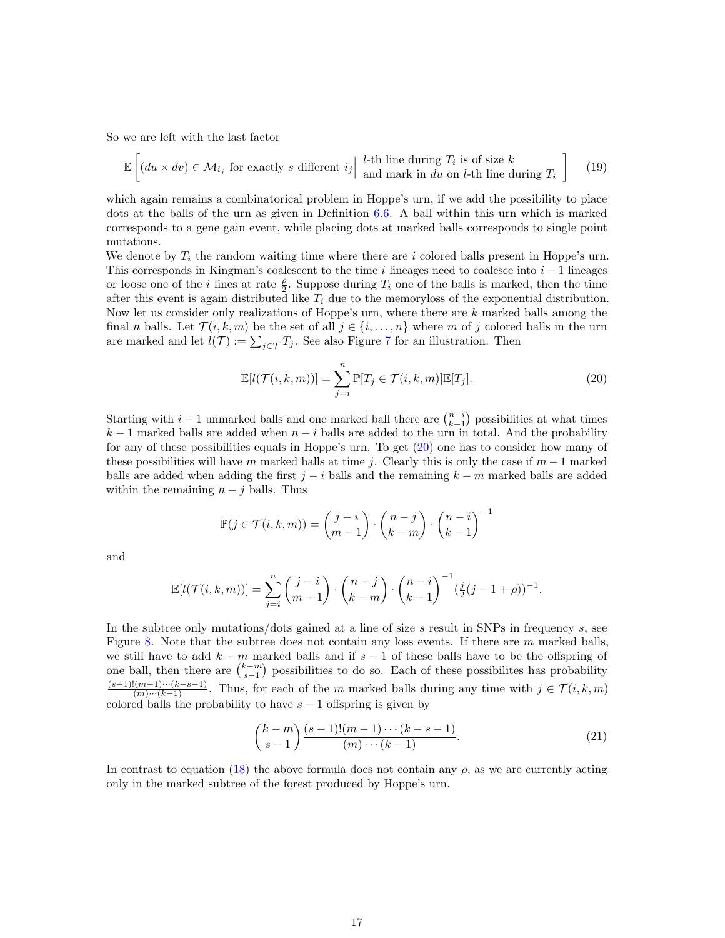So we are left with the last factor

$$
\mathbb{E}\left[\left(du \times dv\right) \in \mathcal{M}_{i_j} \text{ for exactly } s \text{ different } i_j \middle| \begin{array}{l} l\text{-th line during } T_i \text{ is of size } k \\ \text{and mark in } du \text{ on } l\text{-th line during } T_i \end{array}\right] \tag{19}
$$

which again remains a combinatorical problem in Hoppe's urn, if we add the possibility to place dots at the balls of the urn as given in Definition [6.6.](#page-13-1) A ball within this urn which is marked corresponds to a gene gain event, while placing dots at marked balls corresponds to single point mutations.

We denote by  $T_i$  the random waiting time where there are i colored balls present in Hoppe's urn. This corresponds in Kingman's coalescent to the time i lineages need to coalesce into  $i - 1$  lineages or loose one of the *i* lines at rate  $\frac{\rho}{2}$ . Suppose during  $T_i$  one of the balls is marked, then the time after this event is again distributed like  $T_i$  due to the memoryloss of the exponential distribution. Now let us consider only realizations of Hoppe's urn, where there are  $k$  marked balls among the final n balls. Let  $\mathcal{T}(i,k,m)$  be the set of all  $j \in \{i,\ldots,n\}$  where m of j colored balls in the urn are marked and let  $l(\mathcal{T}) := \sum_{j \in \mathcal{T}} T_j$ . See also Figure [7](#page-14-1) for an illustration. Then

<span id="page-16-0"></span>
$$
\mathbb{E}[l(\mathcal{T}(i,k,m))] = \sum_{j=i}^{n} \mathbb{P}[T_j \in \mathcal{T}(i,k,m)] \mathbb{E}[T_j].
$$
\n(20)

Starting with  $i-1$  unmarked balls and one marked ball there are  $\binom{n-i}{k-1}$  possibilities at what times  $k-1$  marked balls are added when  $n-i$  balls are added to the urn in total. And the probability for any of these possibilities equals in Hoppe's urn. To get [\(20\)](#page-16-0) one has to consider how many of these possibilities will have m marked balls at time j. Clearly this is only the case if  $m-1$  marked balls are added when adding the first  $j - i$  balls and the remaining  $k - m$  marked balls are added within the remaining  $n - j$  balls. Thus

$$
\mathbb{P}(j \in \mathcal{T}(i,k,m)) = \binom{j-i}{m-1} \cdot \binom{n-j}{k-m} \cdot \binom{n-i}{k-1}^{-1}
$$

and

$$
\mathbb{E}[l(\mathcal{T}(i,k,m))] = \sum_{j=i}^{n} {j-i \choose m-1} \cdot {n-j \choose k-m} \cdot {n-i \choose k-1}^{-1} (\frac{j}{2}(j-1+\rho))^{-1}.
$$

In the subtree only mutations/dots gained at a line of size s result in SNPs in frequency s, see Figure [8.](#page-17-0) Note that the subtree does not contain any loss events. If there are  $m$  marked balls, we still have to add  $k - m$  marked balls and if  $s - 1$  of these balls have to be the offspring of one ball, then there are  $\binom{k-m}{s-1}$  possibilities to do so. Each of these possibilites has probability  $\frac{(s-1)!(m-1)\cdots(k-s-1)}{(m)\cdots(k-1)}$ . Thus, for each of the m marked balls during any time with  $j \in \mathcal{T}(i,k,m)$ colored balls the probability to have  $s - 1$  offspring is given by

<span id="page-16-1"></span>
$$
\binom{k-m}{s-1} \frac{(s-1)!(m-1)\cdots(k-s-1)}{(m)\cdots(k-1)}.
$$
\n(21)

In contrast to equation [\(18\)](#page-15-1) the above formula does not contain any  $\rho$ , as we are currently acting only in the marked subtree of the forest produced by Hoppe's urn.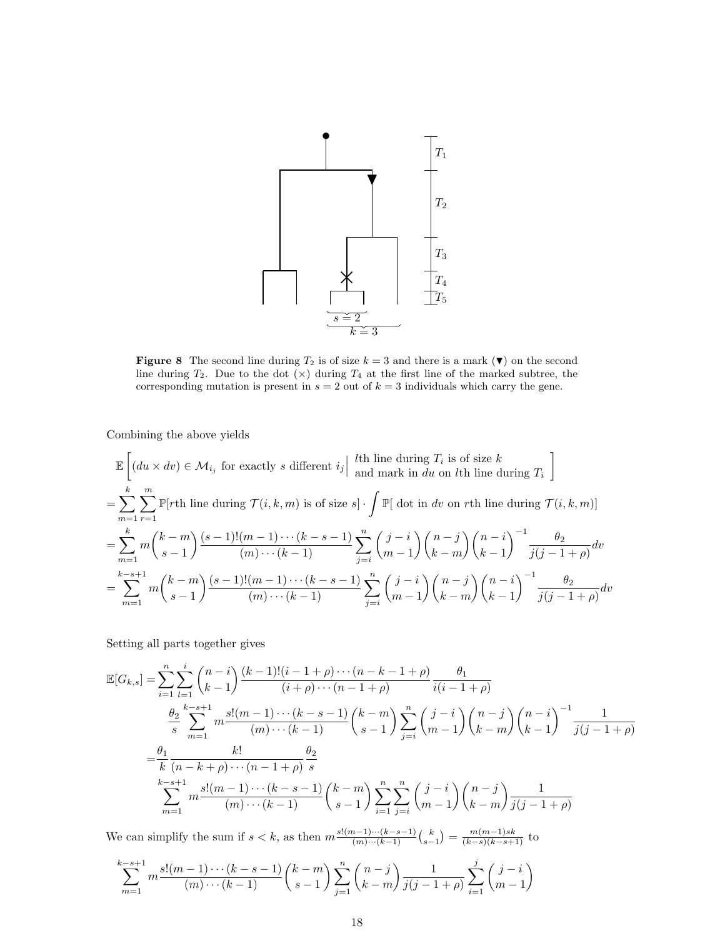

<span id="page-17-0"></span>Figure 8 The second line during  $T_2$  is of size  $k = 3$  and there is a mark  $(\blacktriangledown)$  on the second line during  $T_2$ . Due to the dot  $(x)$  during  $T_4$  at the first line of the marked subtree, the corresponding mutation is present in  $s = 2$  out of  $k = 3$  individuals which carry the gene.

Combining the above yields

$$
\mathbb{E}\left[(du \times dv) \in \mathcal{M}_{i_j} \text{ for exactly } s \text{ different } i_j \middle| \text{ } \begin{aligned}\n&\text{in } \text{ during } T_i \text{ is of size } k \\
&\text{and mark in } du \text{ on } l\text{th line during } T_i \end{aligned}\right] \\
&= \sum_{m=1}^k \sum_{r=1}^m \mathbb{P}[r\text{th line during } \mathcal{T}(i,k,m) \text{ is of size } s] \cdot \int \mathbb{P}[ \text{ dot in } dv \text{ on } r\text{th line during } \mathcal{T}(i,k,m)] \\
&= \sum_{m=1}^k m \binom{k-m}{s-1} \frac{(s-1)!(m-1)\cdots(k-s-1)}{(m)\cdots(k-1)} \sum_{j=i}^n \binom{j-i}{m-1} \binom{n-j}{k-m} \binom{n-i}{k-1}^{-1} \frac{\theta_2}{j(j-1+\rho)} dv \\
&= \sum_{m=1}^{k-s+1} m \binom{k-m}{s-1} \frac{(s-1)!(m-1)\cdots(k-s-1)}{(m)\cdots(k-1)} \sum_{j=i}^n \binom{j-i}{m-1} \binom{n-j}{k-m} \binom{n-i}{k-1}^{-1} \frac{\theta_2}{j(j-1+\rho)} dv\n\end{aligned}
$$

Setting all parts together gives

$$
\mathbb{E}[G_{k,s}] = \sum_{i=1}^{n} \sum_{l=1}^{i} {n-i \choose k-1} \frac{(k-1)!(i-1+\rho)\cdots(n-k-1+\rho)}{(i+\rho)\cdots(n-1+\rho)} \frac{\theta_1}{i(i-1+\rho)}
$$
\n
$$
\frac{\theta_2}{s} \sum_{m=1}^{k-s+1} m \frac{s!(m-1)\cdots(k-s-1)}{(m)\cdots(k-1)} {k-m \choose s-1} \sum_{j=i}^{n} {j-i \choose m-1} {n-j \choose k-m} {n-i \choose k-1}^{-1} \frac{1}{j(j-1+\rho)}
$$
\n
$$
= \frac{\theta_1}{k} \frac{k!}{(n-k+\rho)\cdots(n-1+\rho)} \frac{\theta_2}{s}
$$
\n
$$
\sum_{m=1}^{k-s+1} m \frac{s!(m-1)\cdots(k-s-1)}{(m)\cdots(k-1)} {k-m \choose s-1} \sum_{i=1}^{n} \sum_{j=i}^{n} {j-i \choose m-1} {n-j \choose k-m} \frac{1}{j(j-1+\rho)}
$$

We can simplify the sum if  $s < k$ , as then  $m \frac{s!(m-1)\cdots(k-s-1)}{(m)\cdots(k-1)} {k \choose s-1} = \frac{m(m-1)sk}{(k-s)(k-s+1)}$  to

$$
\sum_{m=1}^{k-s+1} m \frac{s!(m-1)\cdots(k-s-1)}{(m)\cdots(k-1)} {k-m \choose s-1} \sum_{j=1}^{n} {n-j \choose k-m} \frac{1}{j(j-1+\rho)} \sum_{i=1}^{j} {j-i \choose m-1}
$$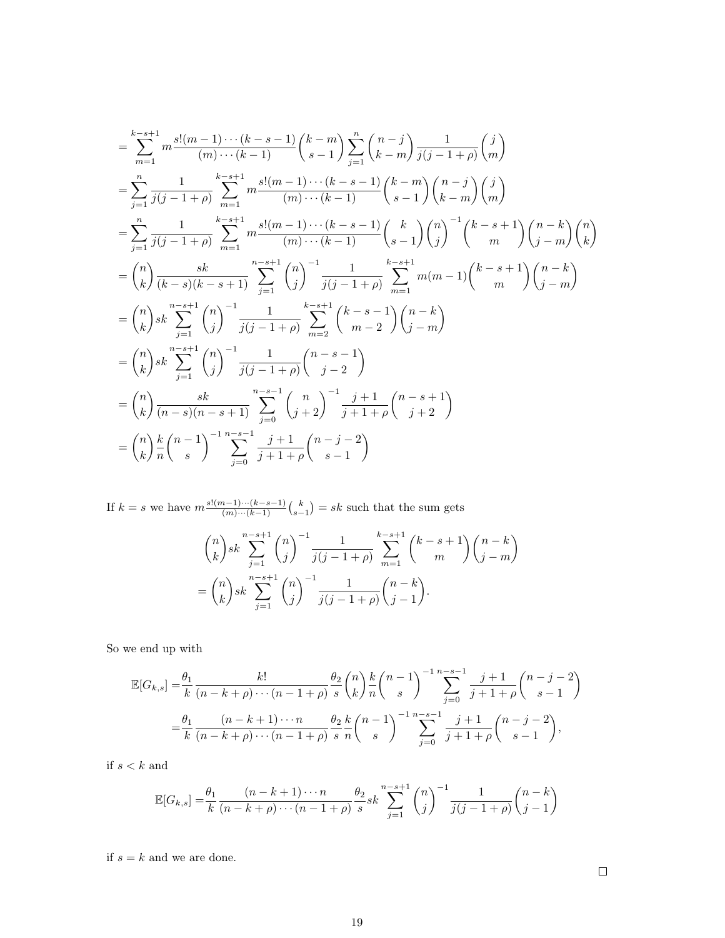$$
\sum_{m=1}^{k-s+1} m \frac{s!(m-1)\cdots(k-s-1)}{(m)\cdots(k-1)} {k-m \choose s-1} \sum_{j=1}^{n} {n-j \choose k-m} \frac{1}{j(j-1+\rho)} {m \choose m}
$$
  
\n
$$
= \sum_{j=1}^{n} \frac{1}{j(j-1+\rho)} \sum_{m=1}^{k-s+1} m \frac{s!(m-1)\cdots(k-s-1)}{(m)\cdots(k-1)} {k-m \choose s-1} {n-j \choose k-m} {j \choose m}
$$
  
\n
$$
= \sum_{j=1}^{n} \frac{1}{j(j-1+\rho)} \sum_{m=1}^{k-s+1} m \frac{s!(m-1)\cdots(k-s-1)}{(m)\cdots(k-1)} {k \choose s-1} {n \choose j}^{-1} {k-s+1 \choose m} {n-k \choose j-m} {n \choose k}
$$
  
\n
$$
= {n \choose k} \frac{sk}{(k-s)(k-s+1)} \sum_{j=1}^{n-s+1} {n \choose j}^{-1} \frac{1}{j(j-1+\rho)} \sum_{m=1}^{k-s+1} m(m-1) {k-s+1 \choose m} {n-k \choose j-m}
$$
  
\n
$$
= {n \choose k} sk \sum_{j=1}^{n-s+1} {n \choose j}^{-1} \frac{1}{j(j-1+\rho)} \sum_{m=2}^{k-s+1} {k-s-1 \choose m-2} {n-k \choose j-m}
$$
  
\n
$$
= {n \choose k} sk \sum_{j=1}^{n-s+1} {n \choose j}^{-1} \frac{1}{j(j-1+\rho)} {n-s-1 \choose j-2}
$$
  
\n
$$
= {n \choose k} \frac{sk}{(n-s)(n-s+1)} \sum_{j=0}^{n-s-1} {n \choose j+2}^{-1} \frac{j+1}{j+1+\rho} {n-s+1 \choose j+2}
$$
  
\n
$$
= {n \choose k} \frac{k}{n} {n-1 \choose s}^{-1} \sum_{j=0}^{n-s-1} \frac{j+1}{j+1+\rho} {n-j-2 \choose s-1}
$$

If  $k = s$  we have  $m \frac{s!(m-1)\cdots(k-s-1)}{(m)\cdots(k-1)} {k \choose s-1} = sk$  such that the sum gets

$$
\binom{n}{k}sk \sum_{j=1}^{n-s+1} \binom{n}{j}^{-1} \frac{1}{j(j-1+\rho)} \sum_{m=1}^{k-s+1} \binom{k-s+1}{m} \binom{n-k}{j-m}
$$

$$
= \binom{n}{k} sk \sum_{j=1}^{n-s+1} \binom{n}{j}^{-1} \frac{1}{j(j-1+\rho)} \binom{n-k}{j-1}.
$$

So we end up with

$$
\mathbb{E}[G_{k,s}] = \frac{\theta_1}{k} \frac{k!}{(n-k+\rho)\cdots(n-1+\rho)} \frac{\theta_2}{s} {n \choose k} \frac{k}{n} {n-1 \choose s}^{-1} \sum_{j=0}^{n-s-1} \frac{j+1}{j+1+\rho} {n-j-2 \choose s-1}
$$

$$
= \frac{\theta_1}{k} \frac{(n-k+1)\cdots n}{(n-k+\rho)\cdots(n-1+\rho)} \frac{\theta_2}{s} \frac{k}{n} {n-1 \choose s}^{-1} \sum_{j=0}^{n-s-1} \frac{j+1}{j+1+\rho} {n-j-2 \choose s-1},
$$

if  $s < k$  and

$$
\mathbb{E}[G_{k,s}] = \frac{\theta_1}{k} \frac{(n-k+1)\cdots n}{(n-k+\rho)\cdots(n-1+\rho)} \frac{\theta_2}{s} s k \sum_{j=1}^{n-s+1} {n \choose j}^{-1} \frac{1}{j(j-1+\rho)} {n-k \choose j-1}
$$

if  $s = k$  and we are done.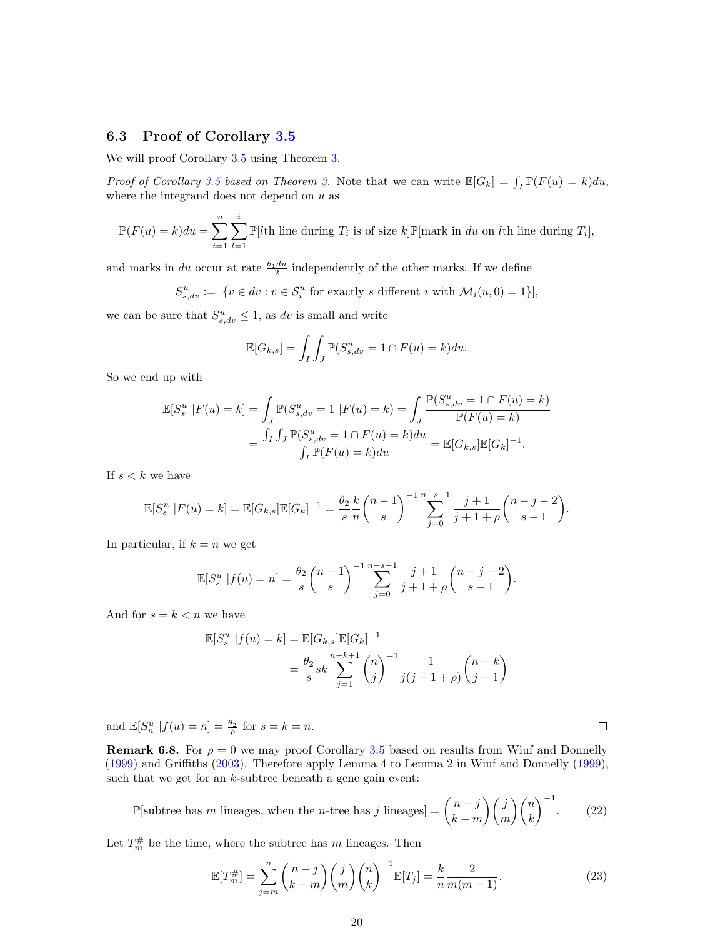## 6.3 Proof of Corollary [3.5](#page-6-0)

We will proof Corollary [3.5](#page-6-0) using Theorem [3.](#page-5-0)

*Proof of Corollary [3.5](#page-6-0) based on Theorem [3.](#page-5-0)* Note that we can write  $\mathbb{E}[G_k] = \int_I \mathbb{P}(F(u) = k) du$ , where the integrand does not depend on  $u$  as

$$
\mathbb{P}(F(u) = k)du = \sum_{i=1}^{n} \sum_{l=1}^{i} \mathbb{P}[l\text{th line during } T_i \text{ is of size } k] \mathbb{P}[\text{mark in } du \text{ on } l\text{th line during } T_i],
$$

and marks in du occur at rate  $\frac{\theta_1 du}{2}$  independently of the other marks. If we define

 $S_{s,dv}^u := |\{v \in dv : v \in S_i^u \text{ for exactly } s \text{ different } i \text{ with } \mathcal{M}_i(u,0) = 1\}|,$ 

we can be sure that  $S_{s,dv}^u \leq 1$ , as dv is small and write

$$
\mathbb{E}[G_{k,s}] = \int_I \int_J \mathbb{P}(S_{s, dv}^u = 1 \cap F(u) = k) du.
$$

So we end up with

$$
\mathbb{E}[S_s^u \mid F(u) = k] = \int_J \mathbb{P}(S_{s, dv}^u = 1 \mid F(u) = k) = \int_J \frac{\mathbb{P}(S_{s, dv}^u = 1 \cap F(u) = k)}{\mathbb{P}(F(u) = k)}
$$

$$
= \frac{\int_I \int_J \mathbb{P}(S_{s, dv}^u = 1 \cap F(u) = k) du}{\int_I \mathbb{P}(F(u) = k) du} = \mathbb{E}[G_{k,s}] \mathbb{E}[G_k]^{-1}.
$$

If  $s < k$  we have

$$
\mathbb{E}[S_s^u \mid F(u) = k] = \mathbb{E}[G_{k,s}]\mathbb{E}[G_k]^{-1} = \frac{\theta_2}{s} \frac{k}{n} {n-1 \choose s}^{-1} \sum_{j=0}^{n-s-1} \frac{j+1}{j+1+\rho} {n-j-2 \choose s-1}.
$$

In particular, if  $k = n$  we get

$$
\mathbb{E}[S_s^u \mid f(u) = n] = \frac{\theta_2}{s} {n-1 \choose s}^{-1} \sum_{j=0}^{n-s-1} \frac{j+1}{j+1+\rho} {n-j-2 \choose s-1}.
$$

And for  $s = k < n$  we have

$$
\mathbb{E}[S_s^u | f(u) = k] = \mathbb{E}[G_{k,s}] \mathbb{E}[G_k]^{-1}
$$
  
=  $\frac{\theta_2}{s} s k \sum_{j=1}^{n-k+1} {n \choose j}^{-1} \frac{1}{j(j-1+\rho)} {n-k \choose j-1}$ 

and  $\mathbb{E}[S_n^u | f(u) = n] = \frac{\theta_2}{\rho}$  for  $s = k = n$ .

**Remark 6.8.** For  $\rho = 0$  we may proof Corollary [3.5](#page-6-0) based on results from Wiuf and Donnelly [\(1999\)](#page-23-12) and Griffiths [\(2003\)](#page-22-18). Therefore apply Lemma 4 to Lemma 2 in Wiuf and Donnelly [\(1999\)](#page-23-12), such that we get for an  $k$ -subtree beneath a gene gain event:

$$
\mathbb{P}[\text{subtree has } m \text{ lineages, when the } n\text{-tree has } j \text{ lineages}] = \binom{n-j}{k-m} \binom{j}{m} \binom{n}{k}^{-1}.\tag{22}
$$

Let  $T_m^{\#}$  be the time, where the subtree has m lineages. Then

$$
\mathbb{E}[T_m^{\#}] = \sum_{j=m}^n \binom{n-j}{k-m} \binom{j}{m} \binom{n}{k}^{-1} \mathbb{E}[T_j] = \frac{k}{n} \frac{2}{m(m-1)}.
$$
\n(23)

 $\Box$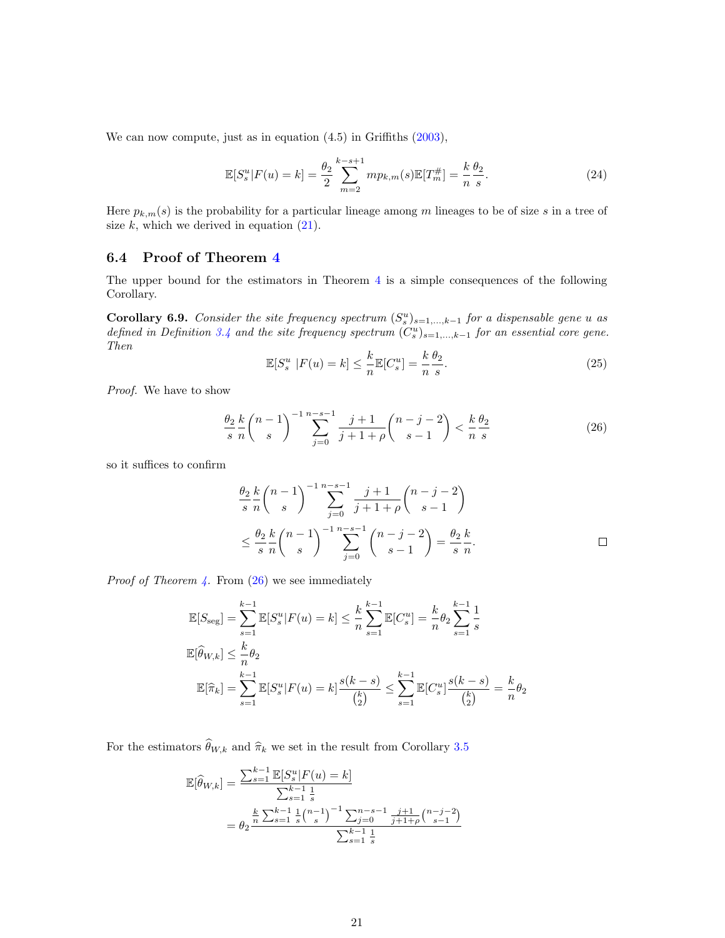We can now compute, just as in equation  $(4.5)$  in Griffiths  $(2003)$ ,

$$
\mathbb{E}[S_s^u | F(u) = k] = \frac{\theta_2}{2} \sum_{m=2}^{k-s+1} m p_{k,m}(s) \mathbb{E}[T_m^{\#}] = \frac{k}{n} \frac{\theta_2}{s}.
$$
 (24)

Here  $p_{k,m}(s)$  is the probability for a particular lineage among m lineages to be of size s in a tree of size  $k$ , which we derived in equation  $(21)$ .

## 6.4 Proof of Theorem [4](#page-8-0)

The upper bound for the estimators in Theorem [4](#page-8-0) is a simple consequences of the following Corollary.

**Corollary 6.9.** Consider the site frequency spectrum  $(S_s^u)_{s=1,\dots,k-1}$  for a dispensable gene u as defined in Definition [3.4](#page-6-5) and the site frequency spectrum  $(C_s^u)_{s=1,\dots,k-1}$  for an essential core gene. Then

$$
\mathbb{E}[S_s^u \mid F(u) = k] \le \frac{k}{n} \mathbb{E}[C_s^u] = \frac{k}{n} \frac{\theta_2}{s}.
$$
\n(25)

Proof. We have to show

<span id="page-20-0"></span>
$$
\frac{\theta_2}{s} \frac{k}{n} {n-1 \choose s}^{-1} \sum_{j=0}^{n-s-1} \frac{j+1}{j+1+\rho} {n-j-2 \choose s-1} < \frac{k}{n} \frac{\theta_2}{s}
$$
(26)

so it suffices to confirm

$$
\frac{\theta_2}{s} \frac{k}{n} {n-1 \choose s}^{-1} \sum_{j=0}^{n-s-1} \frac{j+1}{j+1+\rho} {n-j-2 \choose s-1}
$$
  

$$
\leq \frac{\theta_2}{s} \frac{k}{n} {n-1 \choose s}^{-1} \sum_{j=0}^{n-s-1} {n-j-2 \choose s-1} = \frac{\theta_2}{s} \frac{k}{n}.
$$

*Proof of Theorem [4.](#page-8-0)* From  $(26)$  we see immediately

$$
\mathbb{E}[S_{\text{seg}}] = \sum_{s=1}^{k-1} \mathbb{E}[S_s^u | F(u) = k] \le \frac{k}{n} \sum_{s=1}^{k-1} \mathbb{E}[C_s^u] = \frac{k}{n} \theta_2 \sum_{s=1}^{k-1} \frac{1}{s}
$$
  

$$
\mathbb{E}[\widehat{\theta}_{W,k}] \le \frac{k}{n} \theta_2
$$
  

$$
\mathbb{E}[\widehat{\pi}_k] = \sum_{s=1}^{k-1} \mathbb{E}[S_s^u | F(u) = k] \frac{s(k-s)}{\binom{k}{2}} \le \sum_{s=1}^{k-1} \mathbb{E}[C_s^u] \frac{s(k-s)}{\binom{k}{2}} = \frac{k}{n} \theta_2
$$

For the estimators  $\widehat{\theta}_{W,k}$  and  $\widehat{\pi}_k$  we set in the result from Corollary [3.5](#page-6-0)

$$
\mathbb{E}[\widehat{\theta}_{W,k}] = \frac{\sum_{s=1}^{k-1} \mathbb{E}[S_s^u | F(u) = k]}{\sum_{s=1}^{k-1} \frac{1}{s}} \n= \theta_2 \frac{\frac{k}{n} \sum_{s=1}^{k-1} \frac{1}{s} {n-1 \choose s}^{-1} \sum_{j=0}^{n-s-1} \frac{j+1}{j+1+\rho} {n-j-2 \choose s-1}}{\sum_{s=1}^{k-1} \frac{1}{s}}
$$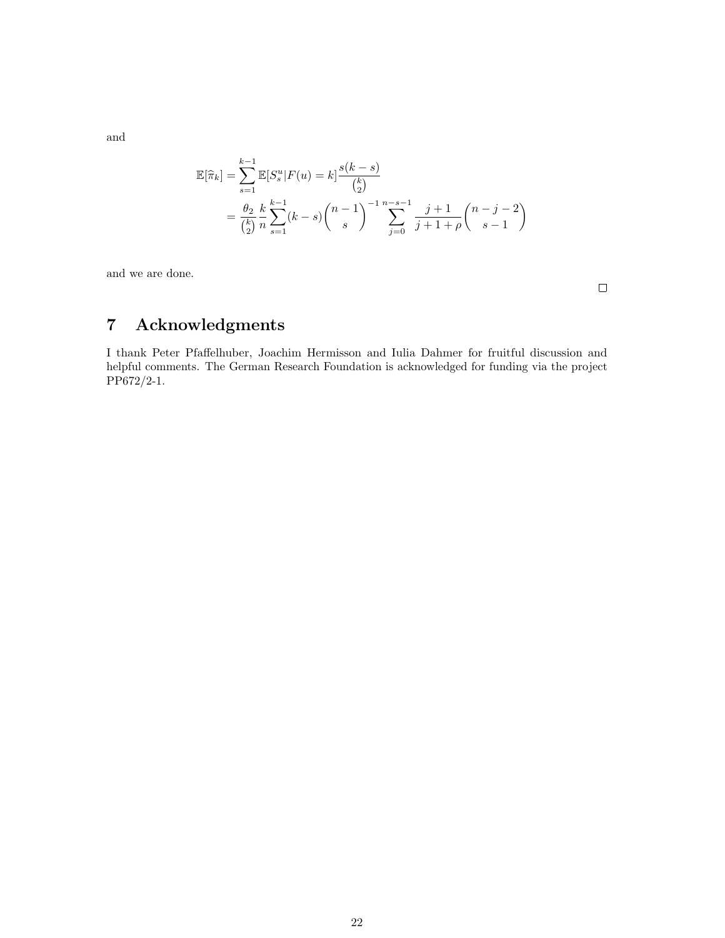and

$$
\mathbb{E}[\hat{\pi}_k] = \sum_{s=1}^{k-1} \mathbb{E}[S_s^u | F(u) = k] \frac{s(k-s)}{\binom{k}{2}}
$$
  
=  $\frac{\theta_2}{\binom{k}{2}} \frac{k}{n} \sum_{s=1}^{k-1} (k-s) \binom{n-1}{s}^{-1} \sum_{j=0}^{n-s-1} \frac{j+1}{j+1+\rho} \binom{n-j-2}{s-1}$ 

and we are done.

 $\Box$ 

# 7 Acknowledgments

I thank Peter Pfaffelhuber, Joachim Hermisson and Iulia Dahmer for fruitful discussion and helpful comments. The German Research Foundation is acknowledged for funding via the project PP672/2-1.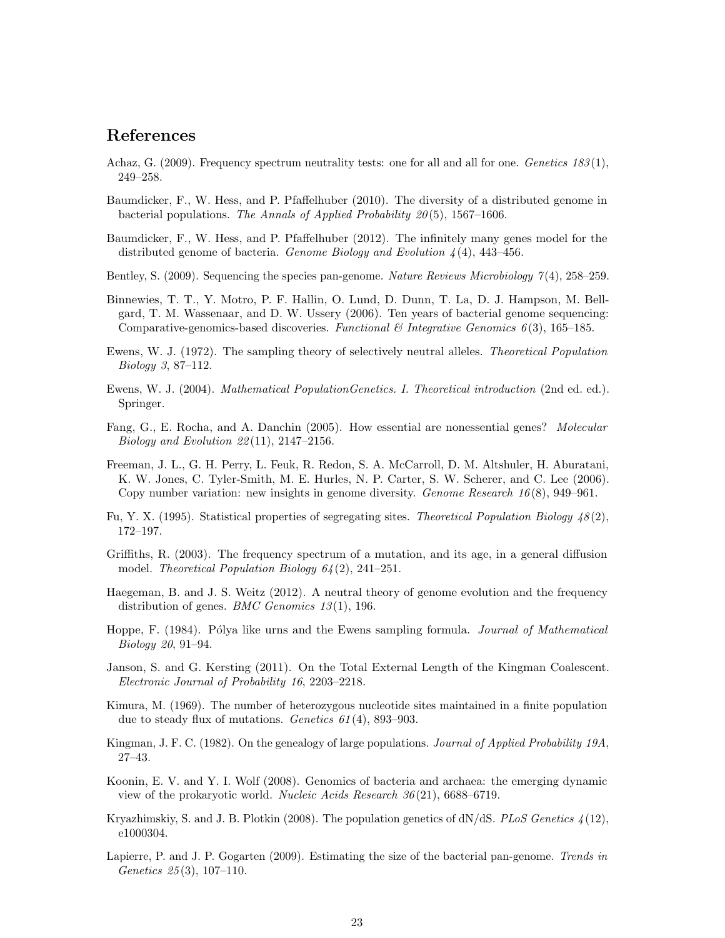## References

- <span id="page-22-11"></span>Achaz, G. (2009). Frequency spectrum neutrality tests: one for all and all for one. Genetics  $183(1)$ , 249–258.
- <span id="page-22-0"></span>Baumdicker, F., W. Hess, and P. Pfaffelhuber (2010). The diversity of a distributed genome in bacterial populations. The Annals of Applied Probability  $20(5)$ , 1567–1606.
- <span id="page-22-4"></span>Baumdicker, F., W. Hess, and P. Pfaffelhuber (2012). The infinitely many genes model for the distributed genome of bacteria. Genome Biology and Evolution  $\lambda(4)$ , 443–456.
- <span id="page-22-3"></span>Bentley, S. (2009). Sequencing the species pan-genome. Nature Reviews Microbiology  $\mathcal{T}(4)$ , 258–259.
- <span id="page-22-1"></span>Binnewies, T. T., Y. Motro, P. F. Hallin, O. Lund, D. Dunn, T. La, D. J. Hampson, M. Bellgard, T. M. Wassenaar, and D. W. Ussery (2006). Ten years of bacterial genome sequencing: Comparative-genomics-based discoveries. Functional  $\mathcal C$  Integrative Genomics 6(3), 165–185.
- <span id="page-22-17"></span>Ewens, W. J. (1972). The sampling theory of selectively neutral alleles. Theoretical Population Biology 3, 87–112.
- <span id="page-22-10"></span>Ewens, W. J. (2004). *Mathematical PopulationGenetics. I. Theoretical introduction* (2nd ed. ed.). Springer.
- <span id="page-22-7"></span>Fang, G., E. Rocha, and A. Danchin (2005). How essential are nonessential genes? Molecular Biology and Evolution 22 (11), 2147–2156.
- <span id="page-22-15"></span>Freeman, J. L., G. H. Perry, L. Feuk, R. Redon, S. A. McCarroll, D. M. Altshuler, H. Aburatani, K. W. Jones, C. Tyler-Smith, M. E. Hurles, N. P. Carter, S. W. Scherer, and C. Lee (2006). Copy number variation: new insights in genome diversity. Genome Research 16 (8), 949–961.
- <span id="page-22-9"></span>Fu, Y. X. (1995). Statistical properties of segregating sites. Theoretical Population Biology  $48(2)$ , 172–197.
- <span id="page-22-18"></span>Griffiths, R. (2003). The frequency spectrum of a mutation, and its age, in a general diffusion model. Theoretical Population Biology 64 (2), 241–251.
- <span id="page-22-5"></span>Haegeman, B. and J. S. Weitz (2012). A neutral theory of genome evolution and the frequency distribution of genes. *BMC Genomics*  $13(1)$ , 196.
- <span id="page-22-16"></span>Hoppe, F. (1984). Pólya like urns and the Ewens sampling formula. *Journal of Mathematical* Biology 20, 91–94.
- <span id="page-22-13"></span>Janson, S. and G. Kersting (2011). On the Total External Length of the Kingman Coalescent. Electronic Journal of Probability 16, 2203–2218.
- <span id="page-22-8"></span>Kimura, M. (1969). The number of heterozygous nucleotide sites maintained in a finite population due to steady flux of mutations. Genetics 61 (4), 893–903.
- <span id="page-22-12"></span>Kingman, J. F. C. (1982). On the genealogy of large populations. Journal of Applied Probability 19A, 27–43.
- <span id="page-22-6"></span>Koonin, E. V. and Y. I. Wolf (2008). Genomics of bacteria and archaea: the emerging dynamic view of the prokaryotic world. Nucleic Acids Research 36 (21), 6688–6719.
- <span id="page-22-14"></span>Kryazhimskiy, S. and J. B. Plotkin (2008). The population genetics of  $dN/dS$ . PLoS Genetics  $\lambda(12)$ , e1000304.
- <span id="page-22-2"></span>Lapierre, P. and J. P. Gogarten (2009). Estimating the size of the bacterial pan-genome. Trends in Genetics 25 (3), 107–110.